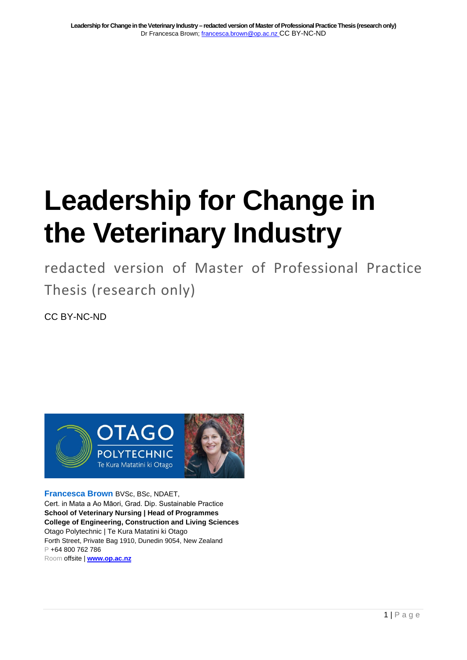# **Leadership for Change in the Veterinary Industry**

redacted version of Master of Professional Practice Thesis (research only)

CC BY-NC-ND



**Francesca Brown** BVSc, BSc, NDAET, Cert. in Mata a Ao Māori, Grad. Dip. Sustainable Practice **School of Veterinary Nursing | Head of Programmes College of Engineering, Construction and Living Sciences** Otago Polytechnic | Te Kura Matatini ki Otago Forth Street, Private Bag 1910, Dunedin 9054, New Zealand P +64 800 762 786 Room offsite | **[www.op.ac.nz](http://www.op.ac.nz/)**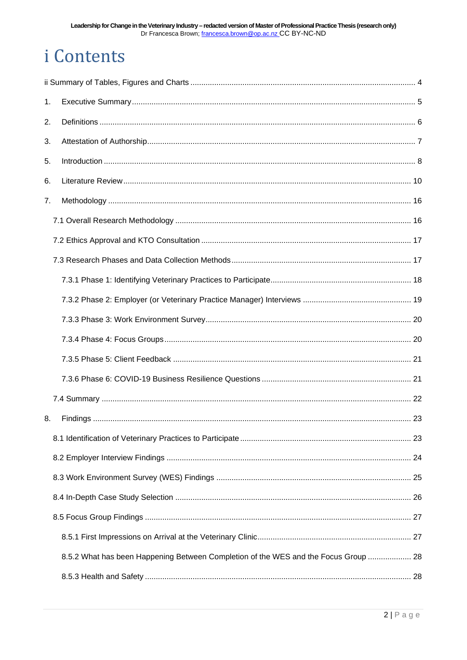## *i* Contents

| 1. |                                                                                     |  |  |  |  |
|----|-------------------------------------------------------------------------------------|--|--|--|--|
| 2. |                                                                                     |  |  |  |  |
| 3. |                                                                                     |  |  |  |  |
| 5. |                                                                                     |  |  |  |  |
| 6. |                                                                                     |  |  |  |  |
| 7. |                                                                                     |  |  |  |  |
|    |                                                                                     |  |  |  |  |
|    |                                                                                     |  |  |  |  |
|    |                                                                                     |  |  |  |  |
|    |                                                                                     |  |  |  |  |
|    |                                                                                     |  |  |  |  |
|    |                                                                                     |  |  |  |  |
|    |                                                                                     |  |  |  |  |
|    |                                                                                     |  |  |  |  |
|    |                                                                                     |  |  |  |  |
|    |                                                                                     |  |  |  |  |
| 8. |                                                                                     |  |  |  |  |
|    |                                                                                     |  |  |  |  |
|    |                                                                                     |  |  |  |  |
|    |                                                                                     |  |  |  |  |
|    |                                                                                     |  |  |  |  |
|    |                                                                                     |  |  |  |  |
|    |                                                                                     |  |  |  |  |
|    | 8.5.2 What has been Happening Between Completion of the WES and the Focus Group  28 |  |  |  |  |
|    |                                                                                     |  |  |  |  |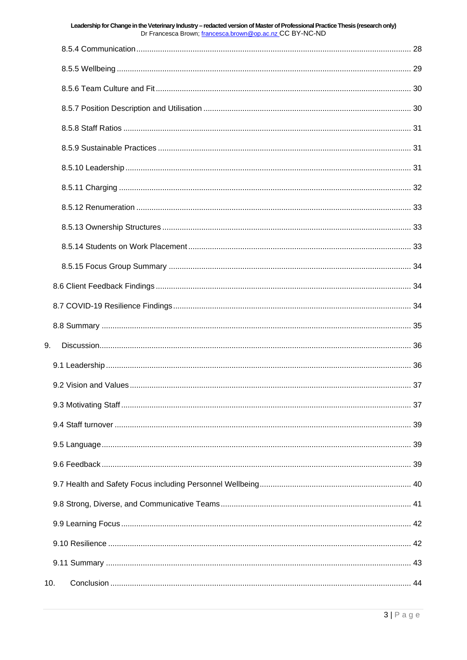|     | Leadership for Change in the Veterinary Industry - redacted version of Master of Professional Practice Thesis (research only)<br>Dr Francesca Brown; francesca.brown@op.ac.nz CC BY-NC-ND |  |  |  |  |
|-----|-------------------------------------------------------------------------------------------------------------------------------------------------------------------------------------------|--|--|--|--|
|     |                                                                                                                                                                                           |  |  |  |  |
|     |                                                                                                                                                                                           |  |  |  |  |
|     |                                                                                                                                                                                           |  |  |  |  |
|     |                                                                                                                                                                                           |  |  |  |  |
|     |                                                                                                                                                                                           |  |  |  |  |
|     |                                                                                                                                                                                           |  |  |  |  |
|     |                                                                                                                                                                                           |  |  |  |  |
|     |                                                                                                                                                                                           |  |  |  |  |
|     |                                                                                                                                                                                           |  |  |  |  |
|     |                                                                                                                                                                                           |  |  |  |  |
|     |                                                                                                                                                                                           |  |  |  |  |
|     |                                                                                                                                                                                           |  |  |  |  |
|     |                                                                                                                                                                                           |  |  |  |  |
|     |                                                                                                                                                                                           |  |  |  |  |
|     |                                                                                                                                                                                           |  |  |  |  |
| 9.  |                                                                                                                                                                                           |  |  |  |  |
|     |                                                                                                                                                                                           |  |  |  |  |
|     |                                                                                                                                                                                           |  |  |  |  |
|     |                                                                                                                                                                                           |  |  |  |  |
|     |                                                                                                                                                                                           |  |  |  |  |
|     |                                                                                                                                                                                           |  |  |  |  |
|     |                                                                                                                                                                                           |  |  |  |  |
|     |                                                                                                                                                                                           |  |  |  |  |
|     |                                                                                                                                                                                           |  |  |  |  |
|     |                                                                                                                                                                                           |  |  |  |  |
|     |                                                                                                                                                                                           |  |  |  |  |
|     |                                                                                                                                                                                           |  |  |  |  |
| 10. |                                                                                                                                                                                           |  |  |  |  |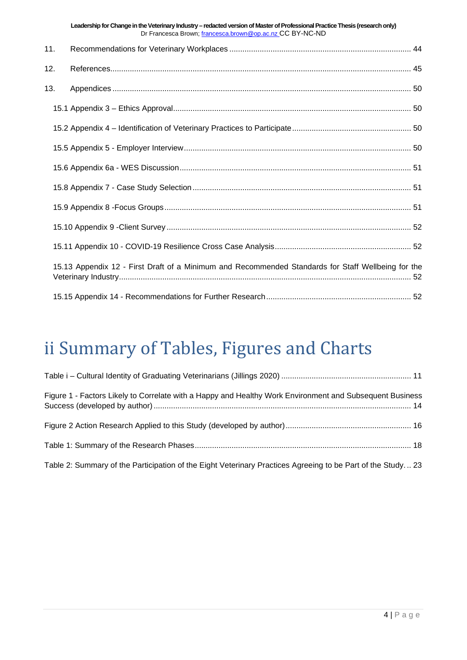|     | Leadership for Change in the Veterinary Industry - redacted version of Master of Professional Practice Thesis (research only)<br>Dr Francesca Brown; francesca.brown@op.ac.nz CC BY-NC-ND |  |
|-----|-------------------------------------------------------------------------------------------------------------------------------------------------------------------------------------------|--|
| 11. |                                                                                                                                                                                           |  |
| 12. |                                                                                                                                                                                           |  |
| 13. |                                                                                                                                                                                           |  |
|     |                                                                                                                                                                                           |  |
|     |                                                                                                                                                                                           |  |
|     |                                                                                                                                                                                           |  |
|     |                                                                                                                                                                                           |  |
|     |                                                                                                                                                                                           |  |
|     |                                                                                                                                                                                           |  |
|     |                                                                                                                                                                                           |  |
|     |                                                                                                                                                                                           |  |
|     | 15.13 Appendix 12 - First Draft of a Minimum and Recommended Standards for Staff Wellbeing for the                                                                                        |  |
|     |                                                                                                                                                                                           |  |

## <span id="page-3-0"></span>ii Summary of Tables, Figures and Charts

| Figure 1 - Factors Likely to Correlate with a Happy and Healthy Work Environment and Subsequent Business    |  |
|-------------------------------------------------------------------------------------------------------------|--|
|                                                                                                             |  |
|                                                                                                             |  |
| Table 2: Summary of the Participation of the Eight Veterinary Practices Agreeing to be Part of the Study 23 |  |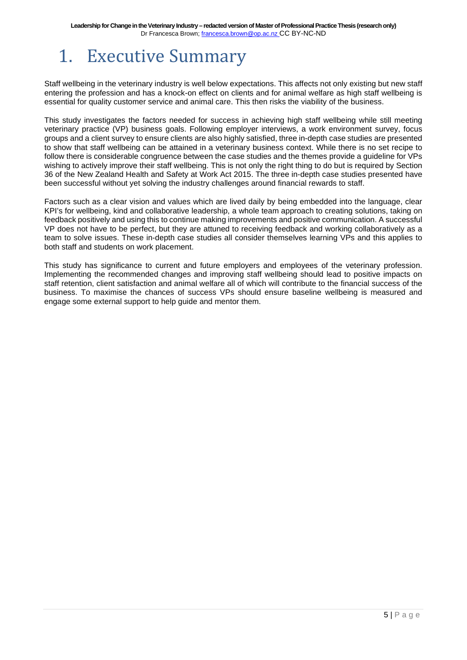## <span id="page-4-0"></span>1. Executive Summary

Staff wellbeing in the veterinary industry is well below expectations. This affects not only existing but new staff entering the profession and has a knock-on effect on clients and for animal welfare as high staff wellbeing is essential for quality customer service and animal care. This then risks the viability of the business.

This study investigates the factors needed for success in achieving high staff wellbeing while still meeting veterinary practice (VP) business goals. Following employer interviews, a work environment survey, focus groups and a client survey to ensure clients are also highly satisfied, three in-depth case studies are presented to show that staff wellbeing can be attained in a veterinary business context. While there is no set recipe to follow there is considerable congruence between the case studies and the themes provide a guideline for VPs wishing to actively improve their staff wellbeing. This is not only the right thing to do but is required by Section 36 of the New Zealand Health and Safety at Work Act 2015. The three in-depth case studies presented have been successful without yet solving the industry challenges around financial rewards to staff.

Factors such as a clear vision and values which are lived daily by being embedded into the language, clear KPI's for wellbeing, kind and collaborative leadership, a whole team approach to creating solutions, taking on feedback positively and using this to continue making improvements and positive communication. A successful VP does not have to be perfect, but they are attuned to receiving feedback and working collaboratively as a team to solve issues. These in-depth case studies all consider themselves learning VPs and this applies to both staff and students on work placement.

This study has significance to current and future employers and employees of the veterinary profession. Implementing the recommended changes and improving staff wellbeing should lead to positive impacts on staff retention, client satisfaction and animal welfare all of which will contribute to the financial success of the business. To maximise the chances of success VPs should ensure baseline wellbeing is measured and engage some external support to help guide and mentor them.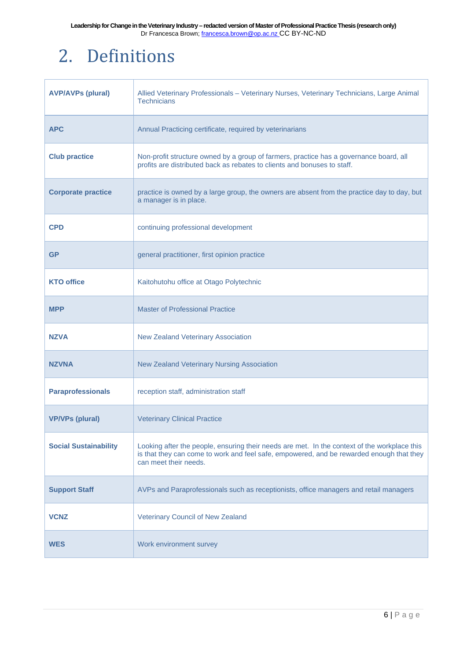## <span id="page-5-0"></span>2. Definitions

| <b>AVP/AVPs (plural)</b>     | Allied Veterinary Professionals - Veterinary Nurses, Veterinary Technicians, Large Animal<br><b>Technicians</b>                                                                                                   |  |
|------------------------------|-------------------------------------------------------------------------------------------------------------------------------------------------------------------------------------------------------------------|--|
| <b>APC</b>                   | Annual Practicing certificate, required by veterinarians                                                                                                                                                          |  |
| <b>Club practice</b>         | Non-profit structure owned by a group of farmers, practice has a governance board, all<br>profits are distributed back as rebates to clients and bonuses to staff.                                                |  |
| <b>Corporate practice</b>    | practice is owned by a large group, the owners are absent from the practice day to day, but<br>a manager is in place.                                                                                             |  |
| <b>CPD</b>                   | continuing professional development                                                                                                                                                                               |  |
| <b>GP</b>                    | general practitioner, first opinion practice                                                                                                                                                                      |  |
| <b>KTO office</b>            | Kaitohutohu office at Otago Polytechnic                                                                                                                                                                           |  |
| <b>MPP</b>                   | <b>Master of Professional Practice</b>                                                                                                                                                                            |  |
| <b>NZVA</b>                  | <b>New Zealand Veterinary Association</b>                                                                                                                                                                         |  |
| <b>NZVNA</b>                 | New Zealand Veterinary Nursing Association                                                                                                                                                                        |  |
| <b>Paraprofessionals</b>     | reception staff, administration staff                                                                                                                                                                             |  |
| <b>VP/VPs (plural)</b>       | <b>Veterinary Clinical Practice</b>                                                                                                                                                                               |  |
| <b>Social Sustainability</b> | Looking after the people, ensuring their needs are met. In the context of the workplace this<br>is that they can come to work and feel safe, empowered, and be rewarded enough that they<br>can meet their needs. |  |
| <b>Support Staff</b>         | AVPs and Paraprofessionals such as receptionists, office managers and retail managers                                                                                                                             |  |
| <b>VCNZ</b>                  | Veterinary Council of New Zealand                                                                                                                                                                                 |  |
| <b>WES</b>                   | Work environment survey                                                                                                                                                                                           |  |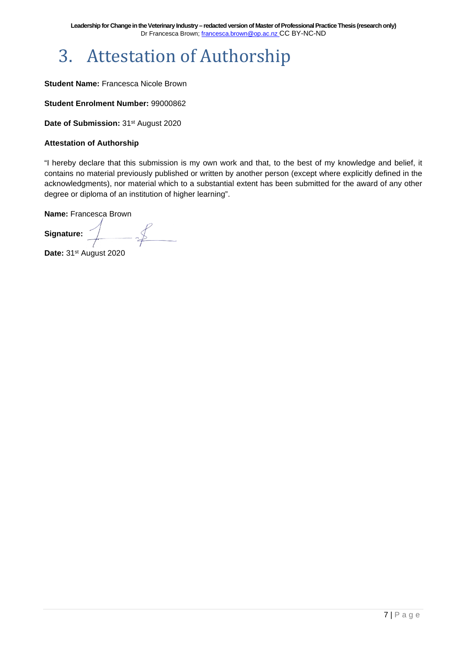## <span id="page-6-0"></span>3. Attestation of Authorship

#### **Student Name:** Francesca Nicole Brown

**Student Enrolment Number:** 99000862

Date of Submission: 31<sup>st</sup> August 2020

#### **Attestation of Authorship**

"I hereby declare that this submission is my own work and that, to the best of my knowledge and belief, it contains no material previously published or written by another person (except where explicitly defined in the acknowledgments), nor material which to a substantial extent has been submitted for the award of any other degree or diploma of an institution of higher learning".

**Name:** Francesca Brown

 $-\frac{f}{f}$ **Signature:** 

Date: 31<sup>st</sup> August 2020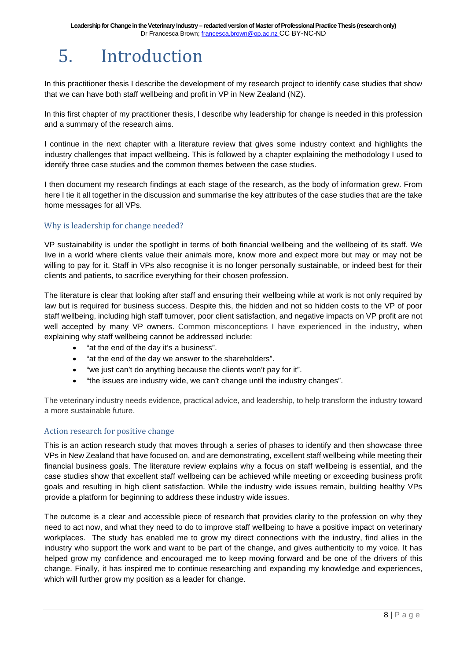## <span id="page-7-0"></span>5. Introduction

In this practitioner thesis I describe the development of my research project to identify case studies that show that we can have both staff wellbeing and profit in VP in New Zealand (NZ).

In this first chapter of my practitioner thesis, I describe why leadership for change is needed in this profession and a summary of the research aims.

I continue in the next chapter with a literature review that gives some industry context and highlights the industry challenges that impact wellbeing. This is followed by a chapter explaining the methodology I used to identify three case studies and the common themes between the case studies.

I then document my research findings at each stage of the research, as the body of information grew. From here I tie it all together in the discussion and summarise the key attributes of the case studies that are the take home messages for all VPs.

#### Why is leadership for change needed?

VP sustainability is under the spotlight in terms of both financial wellbeing and the wellbeing of its staff. We live in a world where clients value their animals more, know more and expect more but may or may not be willing to pay for it. Staff in VPs also recognise it is no longer personally sustainable, or indeed best for their clients and patients, to sacrifice everything for their chosen profession.

The literature is clear that looking after staff and ensuring their wellbeing while at work is not only required by law but is required for business success. Despite this, the hidden and not so hidden costs to the VP of poor staff wellbeing, including high staff turnover, poor client satisfaction, and negative impacts on VP profit are not well accepted by many VP owners. Common misconceptions I have experienced in the industry, when explaining why staff wellbeing cannot be addressed include:

- "at the end of the day it's a business".
- "at the end of the day we answer to the shareholders".
- "we just can't do anything because the clients won't pay for it".
- "the issues are industry wide, we can't change until the industry changes".

The veterinary industry needs evidence, practical advice, and leadership, to help transform the industry toward a more sustainable future.

#### Action research for positive change

This is an action research study that moves through a series of phases to identify and then showcase three VPs in New Zealand that have focused on, and are demonstrating, excellent staff wellbeing while meeting their financial business goals. The literature review explains why a focus on staff wellbeing is essential, and the case studies show that excellent staff wellbeing can be achieved while meeting or exceeding business profit goals and resulting in high client satisfaction. While the industry wide issues remain, building healthy VPs provide a platform for beginning to address these industry wide issues.

The outcome is a clear and accessible piece of research that provides clarity to the profession on why they need to act now, and what they need to do to improve staff wellbeing to have a positive impact on veterinary workplaces. The study has enabled me to grow my direct connections with the industry, find allies in the industry who support the work and want to be part of the change, and gives authenticity to my voice. It has helped grow my confidence and encouraged me to keep moving forward and be one of the drivers of this change. Finally, it has inspired me to continue researching and expanding my knowledge and experiences, which will further grow my position as a leader for change.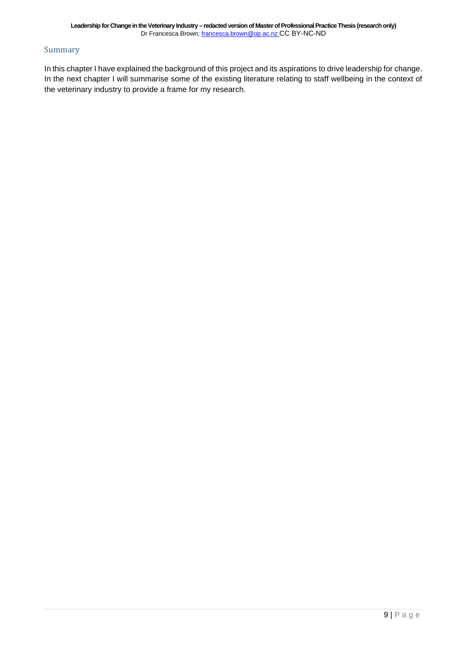#### Summary

In this chapter I have explained the background of this project and its aspirations to drive leadership for change. In the next chapter I will summarise some of the existing literature relating to staff wellbeing in the context of the veterinary industry to provide a frame for my research.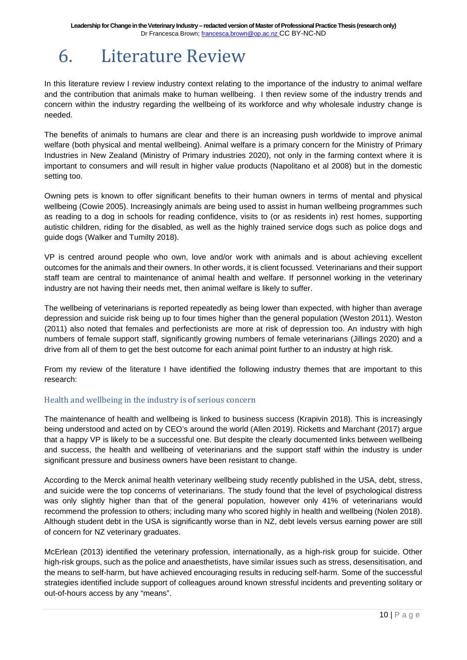## <span id="page-9-0"></span>6. Literature Review

In this literature review I review industry context relating to the importance of the industry to animal welfare and the contribution that animals make to human wellbeing. I then review some of the industry trends and concern within the industry regarding the wellbeing of its workforce and why wholesale industry change is needed.

The benefits of animals to humans are clear and there is an increasing push worldwide to improve animal welfare (both physical and mental wellbeing). Animal welfare is a primary concern for the Ministry of Primary Industries in New Zealand (Ministry of Primary industries 2020), not only in the farming context where it is important to consumers and will result in higher value products (Napolitano et al 2008) but in the domestic setting too.

Owning pets is known to offer significant benefits to their human owners in terms of mental and physical wellbeing (Cowie 2005). Increasingly animals are being used to assist in human wellbeing programmes such as reading to a dog in schools for reading confidence, visits to (or as residents in) rest homes, supporting autistic children, riding for the disabled, as well as the highly trained service dogs such as police dogs and guide dogs (Walker and Tumilty 2018).

VP is centred around people who own, love and/or work with animals and is about achieving excellent outcomes for the animals and their owners. In other words, it is client focussed. Veterinarians and their support staff team are central to maintenance of animal health and welfare. If personnel working in the veterinary industry are not having their needs met, then animal welfare is likely to suffer.

The wellbeing of veterinarians is reported repeatedly as being lower than expected, with higher than average depression and suicide risk being up to four times higher than the general population (Weston 2011). Weston (2011) also noted that females and perfectionists are more at risk of depression too. An industry with high numbers of female support staff, significantly growing numbers of female veterinarians (Jillings 2020) and a drive from all of them to get the best outcome for each animal point further to an industry at high risk.

From my review of the literature I have identified the following industry themes that are important to this research:

#### Health and wellbeing in the industry is of serious concern

The maintenance of health and wellbeing is linked to business success (Krapivin 2018). This is increasingly being understood and acted on by CEO's around the world (Allen 2019). Ricketts and Marchant (2017) argue that a happy VP is likely to be a successful one. But despite the clearly documented links between wellbeing and success, the health and wellbeing of veterinarians and the support staff within the industry is under significant pressure and business owners have been resistant to change.

According to the Merck animal health veterinary wellbeing study recently published in the USA, debt, stress, and suicide were the top concerns of veterinarians. The study found that the level of psychological distress was only slightly higher than that of the general population, however only 41% of veterinarians would recommend the profession to others; including many who scored highly in health and wellbeing (Nolen 2018). Although student debt in the USA is significantly worse than in NZ, debt levels versus earning power are still of concern for NZ veterinary graduates.

McErlean (2013) identified the veterinary profession, internationally, as a high-risk group for suicide. Other high-risk groups, such as the police and anaesthetists, have similar issues such as stress, desensitisation, and the means to self-harm, but have achieved encouraging results in reducing self-harm. Some of the successful strategies identified include support of colleagues around known stressful incidents and preventing solitary or out-of-hours access by any "means".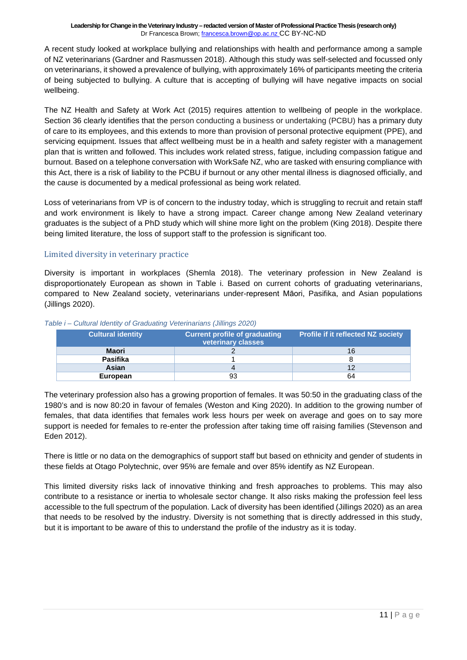A recent study looked at workplace bullying and relationships with health and performance among a sample of NZ veterinarians (Gardner and Rasmussen 2018). Although this study was self-selected and focussed only on veterinarians, it showed a prevalence of bullying, with approximately 16% of participants meeting the criteria of being subjected to bullying. A culture that is accepting of bullying will have negative impacts on social wellbeing.

The NZ Health and Safety at Work Act (2015) requires attention to wellbeing of people in the workplace. Section 36 clearly identifies that the person conducting a business or undertaking (PCBU) has a primary duty of care to its employees, and this extends to more than provision of personal protective equipment (PPE), and servicing equipment. Issues that affect wellbeing must be in a health and safety register with a management plan that is written and followed. This includes work related stress, fatigue, including compassion fatigue and burnout. Based on a telephone conversation with WorkSafe NZ, who are tasked with ensuring compliance with this Act, there is a risk of liability to the PCBU if burnout or any other mental illness is diagnosed officially, and the cause is documented by a medical professional as being work related.

Loss of veterinarians from VP is of concern to the industry today, which is struggling to recruit and retain staff and work environment is likely to have a strong impact. Career change among New Zealand veterinary graduates is the subject of a PhD study which will shine more light on the problem (King 2018). Despite there being limited literature, the loss of support staff to the profession is significant too.

#### Limited diversity in veterinary practice

Diversity is important in workplaces (Shemla 2018). The veterinary profession in New Zealand is disproportionately European as shown in Table i. Based on current cohorts of graduating veterinarians, compared to New Zealand society, veterinarians under-represent Māori, Pasifika, and Asian populations (Jillings 2020).

| <b>Cultural identity</b> | <b>Current profile of graduating</b><br>veterinary classes | <b>Profile if it reflected NZ society</b> |
|--------------------------|------------------------------------------------------------|-------------------------------------------|
| Maori                    |                                                            | 16                                        |
| <b>Pasifika</b>          |                                                            |                                           |
| Asian                    |                                                            | 12                                        |
| European                 | 93                                                         | 64                                        |

#### <span id="page-10-0"></span>*Table i – Cultural Identity of Graduating Veterinarians (Jillings 2020)*

The veterinary profession also has a growing proportion of females. It was 50:50 in the graduating class of the 1980's and is now 80:20 in favour of females (Weston and King 2020). In addition to the growing number of females, that data identifies that females work less hours per week on average and goes on to say more support is needed for females to re-enter the profession after taking time off raising families (Stevenson and Eden 2012).

There is little or no data on the demographics of support staff but based on ethnicity and gender of students in these fields at Otago Polytechnic, over 95% are female and over 85% identify as NZ European.

This limited diversity risks lack of innovative thinking and fresh approaches to problems. This may also contribute to a resistance or inertia to wholesale sector change. It also risks making the profession feel less accessible to the full spectrum of the population. Lack of diversity has been identified (Jillings 2020) as an area that needs to be resolved by the industry. Diversity is not something that is directly addressed in this study, but it is important to be aware of this to understand the profile of the industry as it is today.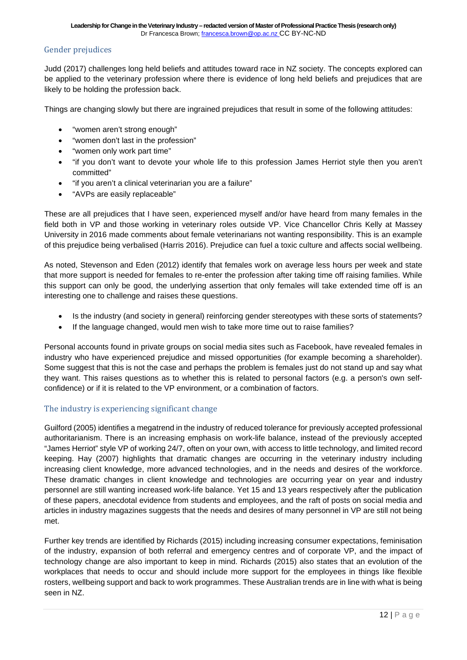#### Gender prejudices

Judd (2017) challenges long held beliefs and attitudes toward race in NZ society. The concepts explored can be applied to the veterinary profession where there is evidence of long held beliefs and prejudices that are likely to be holding the profession back.

Things are changing slowly but there are ingrained prejudices that result in some of the following attitudes:

- "women aren't strong enough"
- "women don't last in the profession"
- "women only work part time"
- "if you don't want to devote your whole life to this profession James Herriot style then you aren't committed"
- "if you aren't a clinical veterinarian you are a failure"
- "AVPs are easily replaceable"

These are all prejudices that I have seen, experienced myself and/or have heard from many females in the field both in VP and those working in veterinary roles outside VP. Vice Chancellor Chris Kelly at Massey University in 2016 made comments about female veterinarians not wanting responsibility. This is an example of this prejudice being verbalised (Harris 2016). Prejudice can fuel a toxic culture and affects social wellbeing.

As noted, Stevenson and Eden (2012) identify that females work on average less hours per week and state that more support is needed for females to re-enter the profession after taking time off raising families. While this support can only be good, the underlying assertion that only females will take extended time off is an interesting one to challenge and raises these questions.

- Is the industry (and society in general) reinforcing gender stereotypes with these sorts of statements?
- If the language changed, would men wish to take more time out to raise families?

Personal accounts found in private groups on social media sites such as Facebook, have revealed females in industry who have experienced prejudice and missed opportunities (for example becoming a shareholder). Some suggest that this is not the case and perhaps the problem is females just do not stand up and say what they want. This raises questions as to whether this is related to personal factors (e.g. a person's own selfconfidence) or if it is related to the VP environment, or a combination of factors.

#### The industry is experiencing significant change

Guilford (2005) identifies a megatrend in the industry of reduced tolerance for previously accepted professional authoritarianism. There is an increasing emphasis on work-life balance, instead of the previously accepted "James Herriot" style VP of working 24/7, often on your own, with access to little technology, and limited record keeping. Hay (2007) highlights that dramatic changes are occurring in the veterinary industry including increasing client knowledge, more advanced technologies, and in the needs and desires of the workforce. These dramatic changes in client knowledge and technologies are occurring year on year and industry personnel are still wanting increased work-life balance. Yet 15 and 13 years respectively after the publication of these papers, anecdotal evidence from students and employees, and the raft of posts on social media and articles in industry magazines suggests that the needs and desires of many personnel in VP are still not being met.

Further key trends are identified by Richards (2015) including increasing consumer expectations, feminisation of the industry, expansion of both referral and emergency centres and of corporate VP, and the impact of technology change are also important to keep in mind. Richards (2015) also states that an evolution of the workplaces that needs to occur and should include more support for the employees in things like flexible rosters, wellbeing support and back to work programmes. These Australian trends are in line with what is being seen in NZ.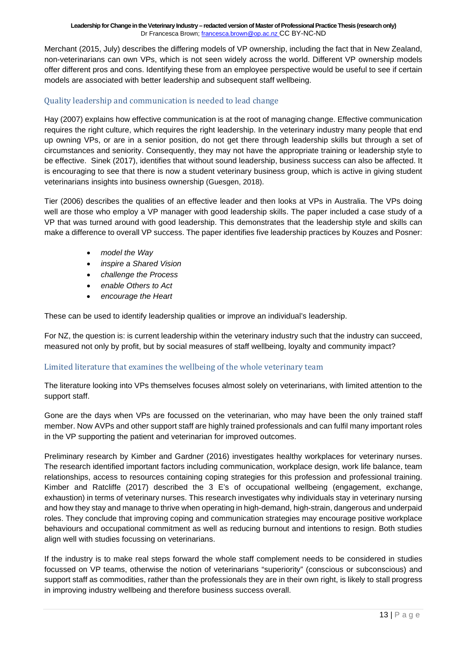Merchant (2015, July) describes the differing models of VP ownership, including the fact that in New Zealand, non-veterinarians can own VPs, which is not seen widely across the world. Different VP ownership models offer different pros and cons. Identifying these from an employee perspective would be useful to see if certain models are associated with better leadership and subsequent staff wellbeing.

#### Quality leadership and communication is needed to lead change

Hay (2007) explains how effective communication is at the root of managing change. Effective communication requires the right culture, which requires the right leadership. In the veterinary industry many people that end up owning VPs, or are in a senior position, do not get there through leadership skills but through a set of circumstances and seniority. Consequently, they may not have the appropriate training or leadership style to be effective. Sinek (2017), identifies that without sound leadership, business success can also be affected. It is encouraging to see that there is now a student veterinary business group, which is active in giving student veterinarians insights into business ownership (Guesgen, 2018).

Tier (2006) describes the qualities of an effective leader and then looks at VPs in Australia. The VPs doing well are those who employ a VP manager with good leadership skills. The paper included a case study of a VP that was turned around with good leadership. This demonstrates that the leadership style and skills can make a difference to overall VP success. The paper identifies five leadership practices by Kouzes and Posner:

- *model the Way*
- *inspire a Shared Vision*
- *challenge the Process*
- *enable Others to Act*
- *encourage the Heart*

These can be used to identify leadership qualities or improve an individual's leadership.

For NZ, the question is: is current leadership within the veterinary industry such that the industry can succeed, measured not only by profit, but by social measures of staff wellbeing, loyalty and community impact?

#### Limited literature that examines the wellbeing of the whole veterinary team

The literature looking into VPs themselves focuses almost solely on veterinarians, with limited attention to the support staff.

Gone are the days when VPs are focussed on the veterinarian, who may have been the only trained staff member. Now AVPs and other support staff are highly trained professionals and can fulfil many important roles in the VP supporting the patient and veterinarian for improved outcomes.

Preliminary research by Kimber and Gardner (2016) investigates healthy workplaces for veterinary nurses. The research identified important factors including communication, workplace design, work life balance, team relationships, access to resources containing coping strategies for this profession and professional training. Kimber and Ratcliffe (2017) described the 3 E's of occupational wellbeing (engagement, exchange, exhaustion) in terms of veterinary nurses. This research investigates why individuals stay in veterinary nursing and how they stay and manage to thrive when operating in high-demand, high-strain, dangerous and underpaid roles. They conclude that improving coping and communication strategies may encourage positive workplace behaviours and occupational commitment as well as reducing burnout and intentions to resign. Both studies align well with studies focussing on veterinarians.

If the industry is to make real steps forward the whole staff complement needs to be considered in studies focussed on VP teams, otherwise the notion of veterinarians "superiority" (conscious or subconscious) and support staff as commodities, rather than the professionals they are in their own right, is likely to stall progress in improving industry wellbeing and therefore business success overall.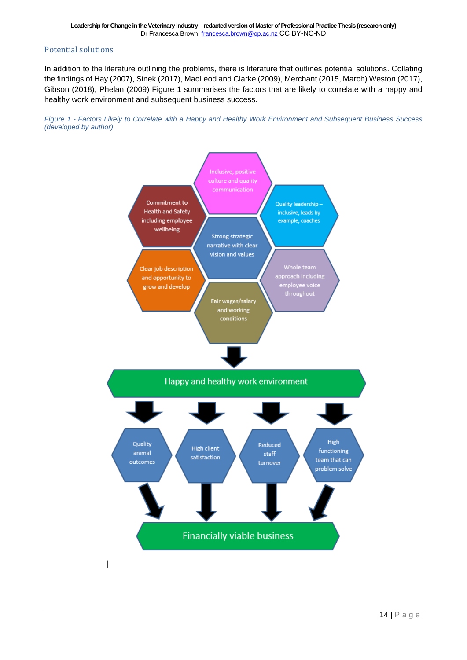#### Potential solutions

In addition to the literature outlining the problems, there is literature that outlines potential solutions. Collating the findings of Hay (2007), Sinek (2017), MacLeod and Clarke (2009), Merchant (2015, March) Weston (2017), Gibson (2018), Phelan (2009) Figure 1 summarises the factors that are likely to correlate with a happy and healthy work environment and subsequent business success.

<span id="page-13-0"></span>

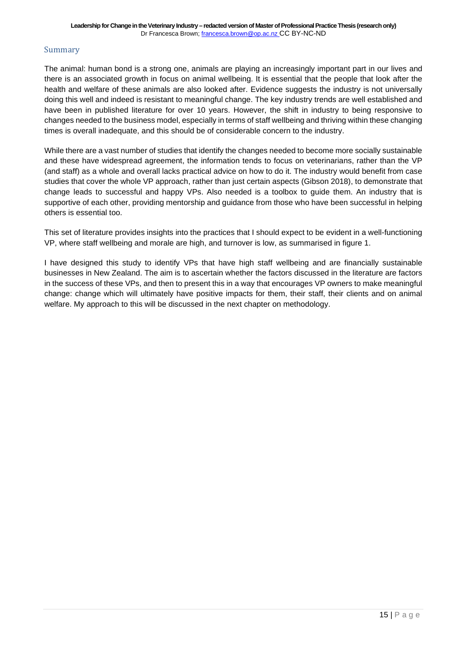#### Summary

The animal: human bond is a strong one, animals are playing an increasingly important part in our lives and there is an associated growth in focus on animal wellbeing. It is essential that the people that look after the health and welfare of these animals are also looked after. Evidence suggests the industry is not universally doing this well and indeed is resistant to meaningful change. The key industry trends are well established and have been in published literature for over 10 years. However, the shift in industry to being responsive to changes needed to the business model, especially in terms of staff wellbeing and thriving within these changing times is overall inadequate, and this should be of considerable concern to the industry.

While there are a vast number of studies that identify the changes needed to become more socially sustainable and these have widespread agreement, the information tends to focus on veterinarians, rather than the VP (and staff) as a whole and overall lacks practical advice on how to do it. The industry would benefit from case studies that cover the whole VP approach, rather than just certain aspects (Gibson 2018), to demonstrate that change leads to successful and happy VPs. Also needed is a toolbox to guide them. An industry that is supportive of each other, providing mentorship and guidance from those who have been successful in helping others is essential too.

This set of literature provides insights into the practices that I should expect to be evident in a well-functioning VP, where staff wellbeing and morale are high, and turnover is low, as summarised in figure 1.

I have designed this study to identify VPs that have high staff wellbeing and are financially sustainable businesses in New Zealand. The aim is to ascertain whether the factors discussed in the literature are factors in the success of these VPs, and then to present this in a way that encourages VP owners to make meaningful change: change which will ultimately have positive impacts for them, their staff, their clients and on animal welfare. My approach to this will be discussed in the next chapter on methodology.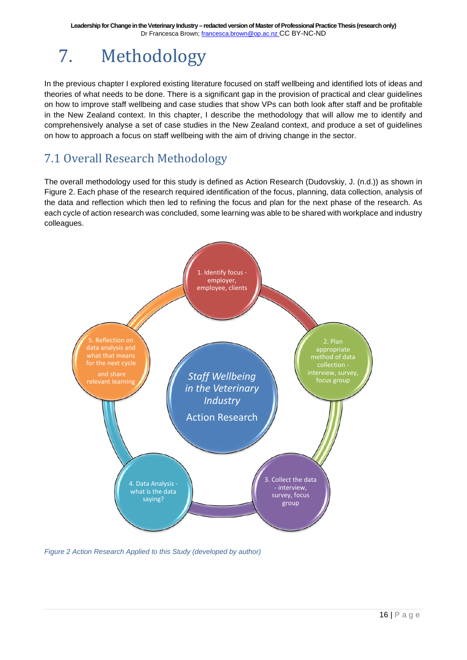## <span id="page-15-0"></span>7. Methodology

In the previous chapter I explored existing literature focused on staff wellbeing and identified lots of ideas and theories of what needs to be done. There is a significant gap in the provision of practical and clear guidelines on how to improve staff wellbeing and case studies that show VPs can both look after staff and be profitable in the New Zealand context. In this chapter, I describe the methodology that will allow me to identify and comprehensively analyse a set of case studies in the New Zealand context, and produce a set of guidelines on how to approach a focus on staff wellbeing with the aim of driving change in the sector.

### <span id="page-15-1"></span>7.1 Overall Research Methodology

The overall methodology used for this study is defined as Action Research (Dudovskiy, J. (n.d.)) as shown in Figure 2. Each phase of the research required identification of the focus, planning, data collection, analysis of the data and reflection which then led to refining the focus and plan for the next phase of the research. As each cycle of action research was concluded, some learning was able to be shared with workplace and industry colleagues.



<span id="page-15-2"></span>*Figure 2 Action Research Applied to this Study (developed by author)*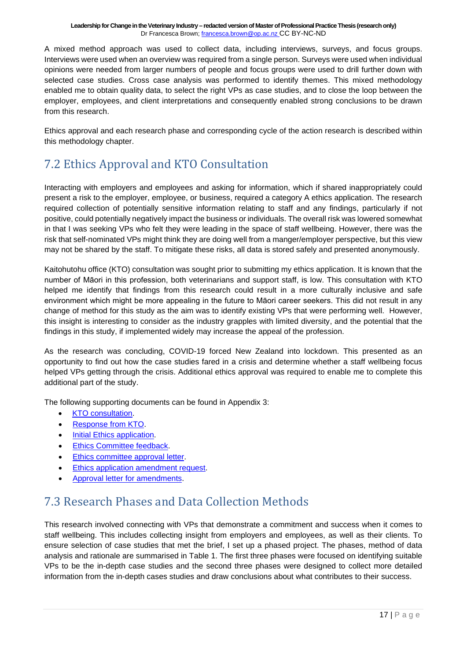A mixed method approach was used to collect data, including interviews, surveys, and focus groups. Interviews were used when an overview was required from a single person. Surveys were used when individual opinions were needed from larger numbers of people and focus groups were used to drill further down with selected case studies. Cross case analysis was performed to identify themes. This mixed methodology enabled me to obtain quality data, to select the right VPs as case studies, and to close the loop between the employer, employees, and client interpretations and consequently enabled strong conclusions to be drawn from this research.

Ethics approval and each research phase and corresponding cycle of the action research is described within this methodology chapter.

### <span id="page-16-0"></span>7.2 Ethics Approval and KTO Consultation

Interacting with employers and employees and asking for information, which if shared inappropriately could present a risk to the employer, employee, or business, required a category A ethics application. The research required collection of potentially sensitive information relating to staff and any findings, particularly if not positive, could potentially negatively impact the business or individuals. The overall risk was lowered somewhat in that I was seeking VPs who felt they were leading in the space of staff wellbeing. However, there was the risk that self-nominated VPs might think they are doing well from a manger/employer perspective, but this view may not be shared by the staff. To mitigate these risks, all data is stored safely and presented anonymously.

Kaitohutohu office (KTO) consultation was sought prior to submitting my ethics application. It is known that the number of Māori in this profession, both veterinarians and support staff, is low. This consultation with KTO helped me identify that findings from this research could result in a more culturally inclusive and safe environment which might be more appealing in the future to Māori career seekers. This did not result in any change of method for this study as the aim was to identify existing VPs that were performing well. However, this insight is interesting to consider as the industry grapples with limited diversity, and the potential that the findings in this study, if implemented widely may increase the appeal of the profession.

As the research was concluding, COVID-19 forced New Zealand into lockdown. This presented as an opportunity to find out how the case studies fared in a crisis and determine whether a staff wellbeing focus helped VPs getting through the crisis. Additional ethics approval was required to enable me to complete this additional part of the study.

The following supporting documents can be found in Appendix 3:

- KTO [consultation.](https://drive.google.com/file/d/1-9tzGsiLqQhRqWyzcjhaYO_sTI5nDpY2/view?usp=sharing)
- [Response from KTO.](https://drive.google.com/file/d/1-E7CeaFAiPzG_gS4holRicsTNJ63XpP0/view?usp=sharing)
- [Initial Ethics application.](https://drive.google.com/file/d/1ZzJlEyaXHMm9zQshNvXn4pcTj3OWpNzK/view?usp=sharing)
- [Ethics Committee feedback.](https://drive.google.com/file/d/1u_ZPQ9H3eUuZ5p0mg5pPW5azKRjqT7Ni/view?usp=sharing)
- [Ethics committee approval letter.](https://drive.google.com/file/d/1XBYIr4WWgsP6DqSsh3a61eC5xkvla3Gc/view?usp=sharing)
- [Ethics application amendment request.](https://drive.google.com/file/d/1ciD2ngDZth9nWuWh1u8pgQOOHkYdZ4QU/view?usp=sharing)
- [Approval letter for amendments.](https://drive.google.com/file/d/15dAvYciZ36-5vJnTuUSOiOu7-KA3Ey18/view?usp=sharing)

### <span id="page-16-1"></span>7.3 Research Phases and Data Collection Methods

This research involved connecting with VPs that demonstrate a commitment and success when it comes to staff wellbeing. This includes collecting insight from employers and employees, as well as their clients. To ensure selection of case studies that met the brief, I set up a phased project. The phases, method of data analysis and rationale are summarised in Table 1. The first three phases were focused on identifying suitable VPs to be the in-depth case studies and the second three phases were designed to collect more detailed information from the in-depth cases studies and draw conclusions about what contributes to their success.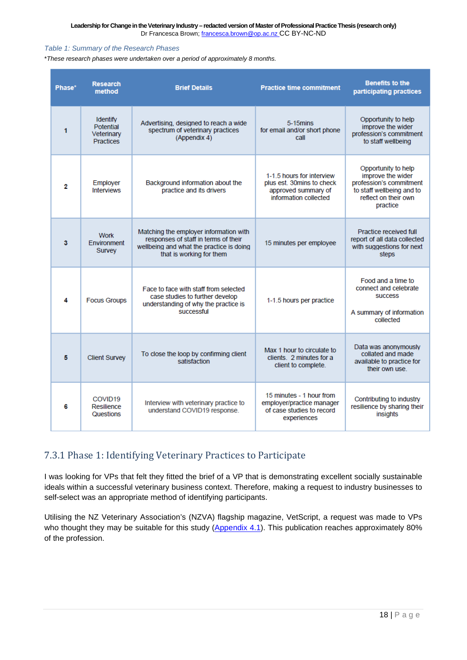#### <span id="page-17-1"></span>*Table 1: Summary of the Research Phases*

\**These research phases were undertaken over a period of approximately 8 months.* 

|  | Phase* | <b>Research</b><br>method                                      | <b>Brief Details</b>                                                                                                                                   | <b>Practice time commitment</b>                                                                        | <b>Benefits to the</b><br>participating practices                                                                                    |
|--|--------|----------------------------------------------------------------|--------------------------------------------------------------------------------------------------------------------------------------------------------|--------------------------------------------------------------------------------------------------------|--------------------------------------------------------------------------------------------------------------------------------------|
|  | 1      | <b>Identify</b><br>Potential<br>Veterinary<br><b>Practices</b> | Advertising, designed to reach a wide<br>spectrum of veterinary practices<br>(Appendix 4)                                                              | $5-15$ mins<br>for email and/or short phone<br>call                                                    | Opportunity to help<br>improve the wider<br>profession's commitment<br>to staff wellbeing                                            |
|  | 2      | Employer<br><b>Interviews</b>                                  | Background information about the<br>practice and its drivers                                                                                           | 1-1.5 hours for interview<br>plus est. 30mins to check<br>approved summary of<br>information collected | Opportunity to help<br>improve the wider<br>profession's commitment<br>to staff wellbeing and to<br>reflect on their own<br>practice |
|  | 3      | <b>Work</b><br>Environment<br>Survey                           | Matching the employer information with<br>responses of staff in terms of their<br>wellbeing and what the practice is doing<br>that is working for them | 15 minutes per employee                                                                                | Practice received full<br>report of all data collected<br>with suggestions for next<br>steps                                         |
|  | 4      | <b>Focus Groups</b>                                            | Face to face with staff from selected<br>case studies to further develop<br>understanding of why the practice is<br>successful                         | 1-1.5 hours per practice                                                                               | Food and a time to<br>connect and celebrate<br><b>SUCCESS</b><br>A summary of information<br>collected                               |
|  | 5      | <b>Client Survey</b>                                           | To close the loop by confirming client<br>satisfaction                                                                                                 | Max 1 hour to circulate to<br>clients. 2 minutes for a<br>client to complete.                          | Data was anonymously<br>collated and made<br>available to practice for<br>their own use.                                             |
|  | 6      | COVID <sub>19</sub><br>Resilience<br>Questions                 | Interview with veterinary practice to<br>understand COVID19 response.                                                                                  | 15 minutes - 1 hour from<br>employer/practice manager<br>of case studies to record<br>experiences      | Contributing to industry<br>resilience by sharing their<br>insights                                                                  |

#### <span id="page-17-0"></span>7.3.1 Phase 1: Identifying Veterinary Practices to Participate

I was looking for VPs that felt they fitted the brief of a VP that is demonstrating excellent socially sustainable ideals within a successful veterinary business context. Therefore, making a request to industry businesses to self-select was an appropriate method of identifying participants.

Utilising the NZ Veterinary Association's (NZVA) flagship magazine, VetScript, a request was made to VPs who thought they may be suitable for this study [\(Appendix 4.1\)](https://drive.google.com/file/d/1N26kGfHgyJQj_p2iInl-ZLd0kOF8mSkJ/view?usp=sharing). This publication reaches approximately 80% of the profession.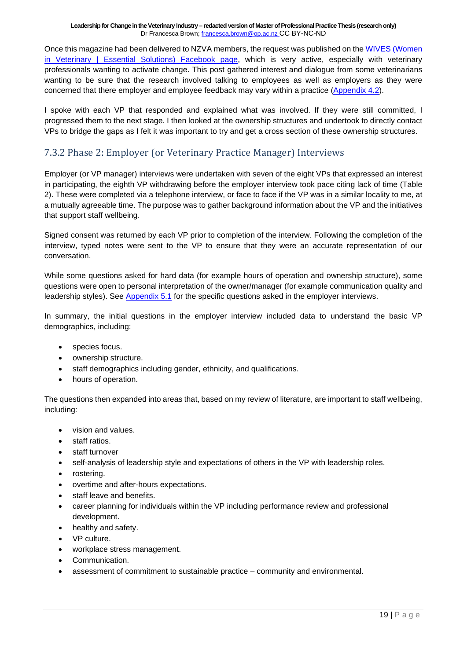Once this magazine had been delivered to NZVA members, the request was published on the [WIVES \(Women](https://www.facebook.com/groups/454395724713971/)  [in Veterinary | Essential Solutions\) Facebook page,](https://www.facebook.com/groups/454395724713971/) which is very active, especially with veterinary professionals wanting to activate change. This post gathered interest and dialogue from some veterinarians wanting to be sure that the research involved talking to employees as well as employers as they were concerned that there employer and employee feedback may vary within a practice [\(Appendix 4.2\)](https://drive.google.com/file/d/1N26kGfHgyJQj_p2iInl-ZLd0kOF8mSkJ/view?usp=sharing).

I spoke with each VP that responded and explained what was involved. If they were still committed, I progressed them to the next stage. I then looked at the ownership structures and undertook to directly contact VPs to bridge the gaps as I felt it was important to try and get a cross section of these ownership structures.

#### <span id="page-18-0"></span>7.3.2 Phase 2: Employer (or Veterinary Practice Manager) Interviews

Employer (or VP manager) interviews were undertaken with seven of the eight VPs that expressed an interest in participating, the eighth VP withdrawing before the employer interview took pace citing lack of time (Table 2). These were completed via a telephone interview, or face to face if the VP was in a similar locality to me, at a mutually agreeable time. The purpose was to gather background information about the VP and the initiatives that support staff wellbeing.

Signed consent was returned by each VP prior to completion of the interview. Following the completion of the interview, typed notes were sent to the VP to ensure that they were an accurate representation of our conversation.

While some questions asked for hard data (for example hours of operation and ownership structure), some questions were open to personal interpretation of the owner/manager (for example communication quality and leadership styles). See [Appendix 5.1](https://drive.google.com/file/d/1z3CF6RYkQw9C8mlJRT3zukn7kcnoLb-v/view?usp=sharing) for the specific questions asked in the employer interviews.

In summary, the initial questions in the employer interview included data to understand the basic VP demographics, including:

- species focus.
- ownership structure.
- staff demographics including gender, ethnicity, and qualifications.
- hours of operation.

The questions then expanded into areas that, based on my review of literature, are important to staff wellbeing, including:

- vision and values.
- staff ratios.
- staff turnover
- self-analysis of leadership style and expectations of others in the VP with leadership roles.
- rostering.
- overtime and after-hours expectations.
- staff leave and benefits.
- career planning for individuals within the VP including performance review and professional development.
- healthy and safety.
- VP culture.
- workplace stress management.
- Communication.
- assessment of commitment to sustainable practice community and environmental.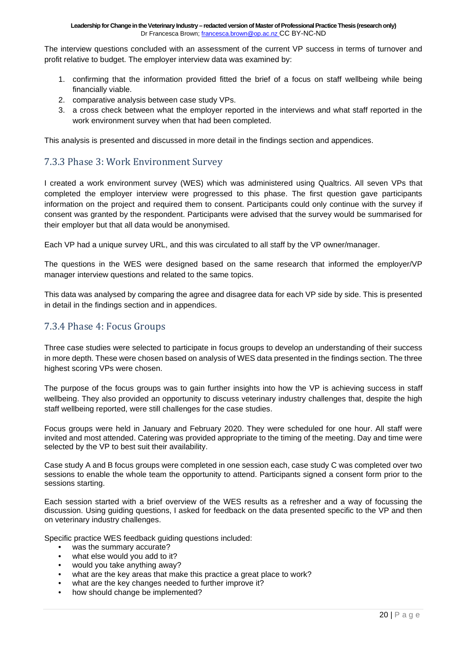The interview questions concluded with an assessment of the current VP success in terms of turnover and profit relative to budget. The employer interview data was examined by:

- 1. confirming that the information provided fitted the brief of a focus on staff wellbeing while being financially viable.
- 2. comparative analysis between case study VPs.
- 3. a cross check between what the employer reported in the interviews and what staff reported in the work environment survey when that had been completed.

This analysis is presented and discussed in more detail in the findings section and appendices.

#### <span id="page-19-0"></span>7.3.3 Phase 3: Work Environment Survey

I created a work environment survey (WES) which was administered using Qualtrics. All seven VPs that completed the employer interview were progressed to this phase. The first question gave participants information on the project and required them to consent. Participants could only continue with the survey if consent was granted by the respondent. Participants were advised that the survey would be summarised for their employer but that all data would be anonymised.

Each VP had a unique survey URL, and this was circulated to all staff by the VP owner/manager.

The questions in the WES were designed based on the same research that informed the employer/VP manager interview questions and related to the same topics.

This data was analysed by comparing the agree and disagree data for each VP side by side. This is presented in detail in the findings section and in appendices.

#### <span id="page-19-1"></span>7.3.4 Phase 4: Focus Groups

Three case studies were selected to participate in focus groups to develop an understanding of their success in more depth. These were chosen based on analysis of WES data presented in the findings section. The three highest scoring VPs were chosen.

The purpose of the focus groups was to gain further insights into how the VP is achieving success in staff wellbeing. They also provided an opportunity to discuss veterinary industry challenges that, despite the high staff wellbeing reported, were still challenges for the case studies.

Focus groups were held in January and February 2020. They were scheduled for one hour. All staff were invited and most attended. Catering was provided appropriate to the timing of the meeting. Day and time were selected by the VP to best suit their availability.

Case study A and B focus groups were completed in one session each, case study C was completed over two sessions to enable the whole team the opportunity to attend. Participants signed a consent form prior to the sessions starting.

Each session started with a brief overview of the WES results as a refresher and a way of focussing the discussion. Using guiding questions, I asked for feedback on the data presented specific to the VP and then on veterinary industry challenges.

Specific practice WES feedback quiding questions included:

- was the summary accurate?
- what else would you add to it?
- would you take anything away?
- what are the key areas that make this practice a great place to work?
- what are the key changes needed to further improve it?
- how should change be implemented?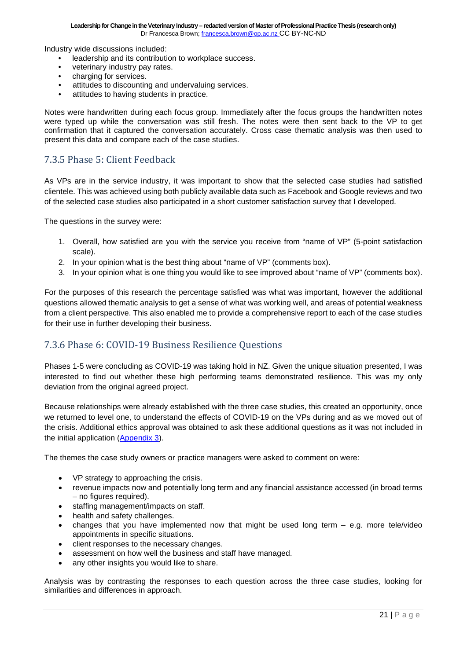Industry wide discussions included:

- leadership and its contribution to workplace success.
- veterinary industry pay rates.<br>• charging for services.
- charging for services.
- attitudes to discounting and undervaluing services.
- attitudes to having students in practice.

Notes were handwritten during each focus group. Immediately after the focus groups the handwritten notes were typed up while the conversation was still fresh. The notes were then sent back to the VP to get confirmation that it captured the conversation accurately. Cross case thematic analysis was then used to present this data and compare each of the case studies.

#### <span id="page-20-0"></span>7.3.5 Phase 5: Client Feedback

As VPs are in the service industry, it was important to show that the selected case studies had satisfied clientele. This was achieved using both publicly available data such as Facebook and Google reviews and two of the selected case studies also participated in a short customer satisfaction survey that I developed.

The questions in the survey were:

- 1. Overall, how satisfied are you with the service you receive from "name of VP" (5-point satisfaction scale).
- 2. In your opinion what is the best thing about "name of VP" (comments box).
- 3. In your opinion what is one thing you would like to see improved about "name of VP" (comments box).

For the purposes of this research the percentage satisfied was what was important, however the additional questions allowed thematic analysis to get a sense of what was working well, and areas of potential weakness from a client perspective. This also enabled me to provide a comprehensive report to each of the case studies for their use in further developing their business.

#### <span id="page-20-1"></span>7.3.6 Phase 6: COVID-19 Business Resilience Questions

Phases 1-5 were concluding as COVID-19 was taking hold in NZ. Given the unique situation presented, I was interested to find out whether these high performing teams demonstrated resilience. This was my only deviation from the original agreed project.

Because relationships were already established with the three case studies, this created an opportunity, once we returned to level one, to understand the effects of COVID-19 on the VPs during and as we moved out of the crisis. Additional ethics approval was obtained to ask these additional questions as it was not included in the initial application [\(Appendix 3\)](https://drive.google.com/file/d/15dAvYciZ36-5vJnTuUSOiOu7-KA3Ey18/view?usp=sharing).

The themes the case study owners or practice managers were asked to comment on were:

- VP strategy to approaching the crisis.
- revenue impacts now and potentially long term and any financial assistance accessed (in broad terms – no figures required).
- staffing management/impacts on staff.
- health and safety challenges.
- changes that you have implemented now that might be used long term  $-$  e.g. more tele/video appointments in specific situations.
- client responses to the necessary changes.
- assessment on how well the business and staff have managed.
- any other insights you would like to share.

Analysis was by contrasting the responses to each question across the three case studies, looking for similarities and differences in approach.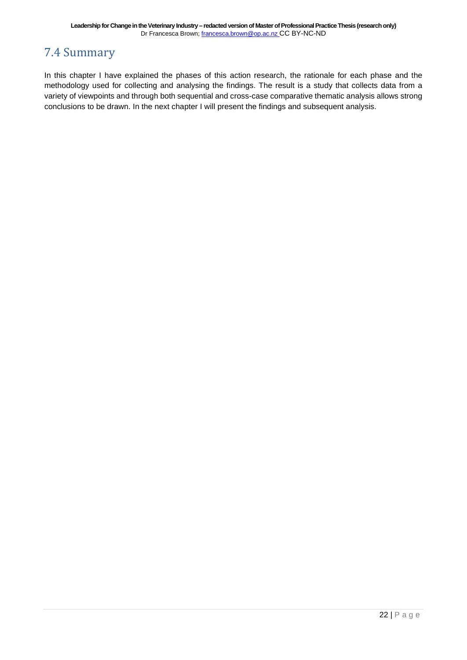### <span id="page-21-0"></span>7.4 Summary

In this chapter I have explained the phases of this action research, the rationale for each phase and the methodology used for collecting and analysing the findings. The result is a study that collects data from a variety of viewpoints and through both sequential and cross-case comparative thematic analysis allows strong conclusions to be drawn. In the next chapter I will present the findings and subsequent analysis.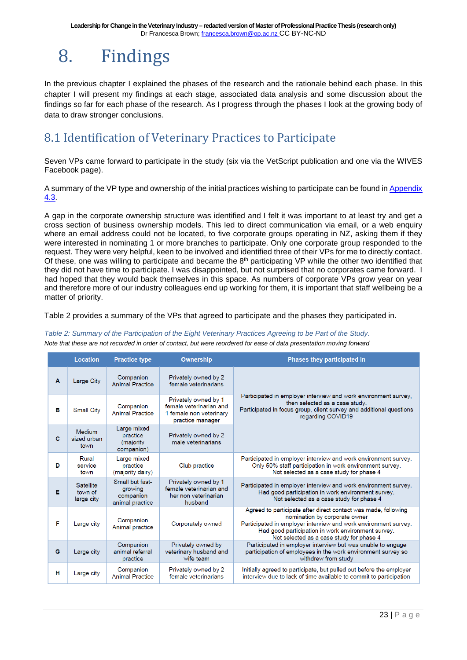## <span id="page-22-0"></span>8. Findings

In the previous chapter I explained the phases of the research and the rationale behind each phase. In this chapter I will present my findings at each stage, associated data analysis and some discussion about the findings so far for each phase of the research. As I progress through the phases I look at the growing body of data to draw stronger conclusions.

### <span id="page-22-1"></span>8.1 Identification of Veterinary Practices to Participate

Seven VPs came forward to participate in the study (six via the VetScript publication and one via the WIVES Facebook page).

A summary of the VP type and ownership of the initial practices wishing to participate can be found in [Appendix](https://drive.google.com/file/d/1N26kGfHgyJQj_p2iInl-ZLd0kOF8mSkJ/view?usp=sharing)  [4.3.](https://drive.google.com/file/d/1N26kGfHgyJQj_p2iInl-ZLd0kOF8mSkJ/view?usp=sharing)

A gap in the corporate ownership structure was identified and I felt it was important to at least try and get a cross section of business ownership models. This led to direct communication via email, or a web enquiry where an email address could not be located, to five corporate groups operating in NZ, asking them if they were interested in nominating 1 or more branches to participate. Only one corporate group responded to the request. They were very helpful, keen to be involved and identified three of their VPs for me to directly contact. Of these, one was willing to participate and became the 8<sup>th</sup> participating VP while the other two identified that they did not have time to participate. I was disappointed, but not surprised that no corporates came forward. I had hoped that they would back themselves in this space. As numbers of corporate VPs grow year on year and therefore more of our industry colleagues end up working for them, it is important that staff wellbeing be a matter of priority.

<span id="page-22-2"></span>Table 2 provides a summary of the VPs that agreed to participate and the phases they participated in.

#### *Table 2: Summary of the Participation of the Eight Veterinary Practices Agreeing to be Part of the Study.*

*Note that these are not recorded in order of contact, but were reordered for ease of data presentation moving forward*

|   | <b>Location</b>                           | <b>Practice type</b>                                       | <b>Ownership</b>                                                                               | <b>Phases they participated in</b>                                                                                                                                                                                                                                   |
|---|-------------------------------------------|------------------------------------------------------------|------------------------------------------------------------------------------------------------|----------------------------------------------------------------------------------------------------------------------------------------------------------------------------------------------------------------------------------------------------------------------|
| A | Large City                                | Companion<br><b>Animal Practice</b>                        | Privately owned by 2<br>female veterinarians                                                   |                                                                                                                                                                                                                                                                      |
| в | <b>Small City</b>                         | Companion<br><b>Animal Practice</b>                        | Privately owned by 1<br>female veterinarian and<br>1 female non veterinary<br>practice manager | Participated in employer interview and work environment survey.<br>then selected as a case study.<br>Participated in focus group, client survey and additional questions<br>regarding COVID19                                                                        |
| c | <b>Medium</b><br>sized urban<br>town      | Large mixed<br>practice<br>(majority<br>companion)         | Privately owned by 2<br>male veterinarians                                                     |                                                                                                                                                                                                                                                                      |
| D | Rural<br>service<br>town                  | Large mixed<br>practice<br>(majority dairy)                | Club practice                                                                                  | Participated in employer interview and work environment survey.<br>Only 50% staff participation in work environment survey.<br>Not selected as a case study for phase 4                                                                                              |
| Е | <b>Satellite</b><br>town of<br>large city | Small but fast-<br>growing<br>companion<br>animal practice | Privately owned by 1<br>female veterinarian and<br>her non veterinarian<br>husband             | Participated in employer interview and work environment survey.<br>Had good participation in work environment survey.<br>Not selected as a case study for phase 4                                                                                                    |
| F | Large city                                | Companion<br>Animal practice                               | Corporately owned                                                                              | Agreed to participate after direct contact was made, following<br>nomination by corporate owner<br>Participated in employer interview and work environment survey.<br>Had good participation in work environment survey.<br>Not selected as a case study for phase 4 |
| G | Large city                                | Companion<br>animal referral<br>practice                   | Privately owned by<br>veterinary husband and<br>wife team                                      | Participated in employer interview but was unable to engage<br>participation of employees in the work environment survey so<br>withdrew from study                                                                                                                   |
| н | Large city                                | Companion<br><b>Animal Practice</b>                        | Privately owned by 2<br>female veterinarians                                                   | Initially agreed to participate, but pulled out before the employer<br>interview due to lack of time available to commit to participation                                                                                                                            |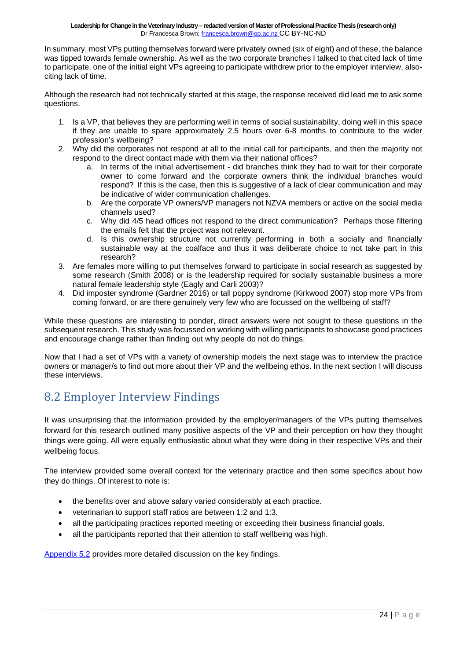In summary, most VPs putting themselves forward were privately owned (six of eight) and of these, the balance was tipped towards female ownership. As well as the two corporate branches I talked to that cited lack of time to participate, one of the initial eight VPs agreeing to participate withdrew prior to the employer interview, alsociting lack of time.

Although the research had not technically started at this stage, the response received did lead me to ask some questions.

- 1. Is a VP, that believes they are performing well in terms of social sustainability, doing well in this space if they are unable to spare approximately 2.5 hours over 6-8 months to contribute to the wider profession's wellbeing?
- 2. Why did the corporates not respond at all to the initial call for participants, and then the majority not respond to the direct contact made with them via their national offices?
	- a. In terms of the initial advertisement did branches think they had to wait for their corporate owner to come forward and the corporate owners think the individual branches would respond? If this is the case, then this is suggestive of a lack of clear communication and may be indicative of wider communication challenges.
	- b. Are the corporate VP owners/VP managers not NZVA members or active on the social media channels used?
	- c. Why did 4/5 head offices not respond to the direct communication? Perhaps those filtering the emails felt that the project was not relevant.
	- d. Is this ownership structure not currently performing in both a socially and financially sustainable way at the coalface and thus it was deliberate choice to not take part in this research?
- 3. Are females more willing to put themselves forward to participate in social research as suggested by some research (Smith 2008) or is the leadership required for socially sustainable business a more natural female leadership style (Eagly and Carli 2003)?
- 4. Did imposter syndrome (Gardner 2016) or tall poppy syndrome (Kirkwood 2007) stop more VPs from coming forward, or are there genuinely very few who are focussed on the wellbeing of staff?

While these questions are interesting to ponder, direct answers were not sought to these questions in the subsequent research. This study was focussed on working with willing participants to showcase good practices and encourage change rather than finding out why people do not do things.

Now that I had a set of VPs with a variety of ownership models the next stage was to interview the practice owners or manager/s to find out more about their VP and the wellbeing ethos. In the next section I will discuss these interviews.

### <span id="page-23-0"></span>8.2 Employer Interview Findings

It was unsurprising that the information provided by the employer/managers of the VPs putting themselves forward for this research outlined many positive aspects of the VP and their perception on how they thought things were going. All were equally enthusiastic about what they were doing in their respective VPs and their wellbeing focus.

The interview provided some overall context for the veterinary practice and then some specifics about how they do things. Of interest to note is:

- the benefits over and above salary varied considerably at each practice.
- veterinarian to support staff ratios are between 1:2 and 1:3.
- all the participating practices reported meeting or exceeding their business financial goals.
- all the participants reported that their attention to staff wellbeing was high.

[Appendix 5.2](https://drive.google.com/file/d/1z3CF6RYkQw9C8mlJRT3zukn7kcnoLb-v/view?usp=sharing) provides more detailed discussion on the key findings.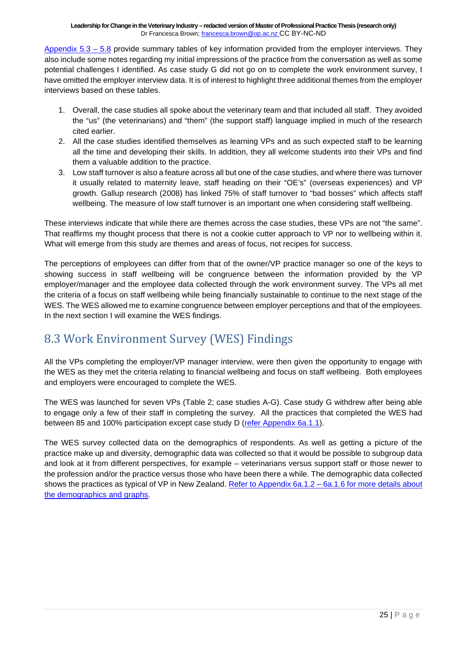[Appendix](https://drive.google.com/file/d/1z3CF6RYkQw9C8mlJRT3zukn7kcnoLb-v/view?usp=sharing)  $5.3 - 5.8$  provide summary tables of key information provided from the employer interviews. They also include some notes regarding my initial impressions of the practice from the conversation as well as some potential challenges I identified. As case study G did not go on to complete the work environment survey, I have omitted the employer interview data. It is of interest to highlight three additional themes from the employer interviews based on these tables.

- 1. Overall, the case studies all spoke about the veterinary team and that included all staff. They avoided the "us" (the veterinarians) and "them" (the support staff) language implied in much of the research cited earlier.
- 2. All the case studies identified themselves as learning VPs and as such expected staff to be learning all the time and developing their skills. In addition, they all welcome students into their VPs and find them a valuable addition to the practice.
- 3. Low staff turnover is also a feature across all but one of the case studies, and where there was turnover it usually related to maternity leave, staff heading on their "OE's" (overseas experiences) and VP growth. Gallup research (2008) has linked 75% of staff turnover to "bad bosses" which affects staff wellbeing. The measure of low staff turnover is an important one when considering staff wellbeing.

These interviews indicate that while there are themes across the case studies, these VPs are not "the same". That reaffirms my thought process that there is not a cookie cutter approach to VP nor to wellbeing within it. What will emerge from this study are themes and areas of focus, not recipes for success.

The perceptions of employees can differ from that of the owner/VP practice manager so one of the keys to showing success in staff wellbeing will be congruence between the information provided by the VP employer/manager and the employee data collected through the work environment survey. The VPs all met the criteria of a focus on staff wellbeing while being financially sustainable to continue to the next stage of the WES. The WES allowed me to examine congruence between employer perceptions and that of the employees. In the next section I will examine the WES findings.

### <span id="page-24-0"></span>8.3 Work Environment Survey (WES) Findings

All the VPs completing the employer/VP manager interview, were then given the opportunity to engage with the WES as they met the criteria relating to financial wellbeing and focus on staff wellbeing. Both employees and employers were encouraged to complete the WES.

The WES was launched for seven VPs (Table 2; case studies A-G). Case study G withdrew after being able to engage only a few of their staff in completing the survey. All the practices that completed the WES had between 85 and 100% participation except case study D [\(refer Appendix 6a.1.1\)](https://drive.google.com/file/d/1jCCc-YV29O9Rrnq0wmhxm3XlQoG_Dck-/view?usp=sharing).

The WES survey collected data on the demographics of respondents. As well as getting a picture of the practice make up and diversity, demographic data was collected so that it would be possible to subgroup data and look at it from different perspectives, for example – veterinarians versus support staff or those newer to the profession and/or the practice versus those who have been there a while. The demographic data collected shows the practices as typical of VP in New Zealand. [Refer to Appendix 6a.1.2](https://drive.google.com/file/d/1jCCc-YV29O9Rrnq0wmhxm3XlQoG_Dck-/view?usp=sharing) – 6a.1.6 for more details about [the demographics and graphs.](https://drive.google.com/file/d/1jCCc-YV29O9Rrnq0wmhxm3XlQoG_Dck-/view?usp=sharing)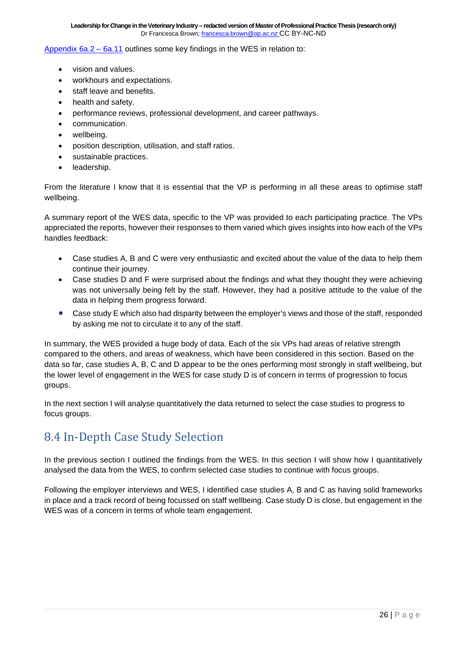[Appendix 6a.2](https://drive.google.com/file/d/1jCCc-YV29O9Rrnq0wmhxm3XlQoG_Dck-/view?usp=sharing) – 6a.11 outlines some key findings in the WES in relation to:

- vision and values.
- workhours and expectations.
- staff leave and benefits.
- health and safety.
- performance reviews, professional development, and career pathways.
- communication.
- wellbeing.
- position description, utilisation, and staff ratios.
- sustainable practices.
- leadership.

From the literature I know that it is essential that the VP is performing in all these areas to optimise staff wellbeing.

A summary report of the WES data, specific to the VP was provided to each participating practice. The VPs appreciated the reports, however their responses to them varied which gives insights into how each of the VPs handles feedback:

- Case studies A, B and C were very enthusiastic and excited about the value of the data to help them continue their journey.
- Case studies D and F were surprised about the findings and what they thought they were achieving was not universally being felt by the staff. However, they had a positive attitude to the value of the data in helping them progress forward.
- Case study E which also had disparity between the employer's views and those of the staff, responded by asking me not to circulate it to any of the staff.

In summary, the WES provided a huge body of data. Each of the six VPs had areas of relative strength compared to the others, and areas of weakness, which have been considered in this section. Based on the data so far, case studies A, B, C and D appear to be the ones performing most strongly in staff wellbeing, but the lower level of engagement in the WES for case study D is of concern in terms of progression to focus groups.

In the next section I will analyse quantitatively the data returned to select the case studies to progress to focus groups.

### <span id="page-25-0"></span>8.4 In-Depth Case Study Selection

In the previous section I outlined the findings from the WES. In this section I will show how I quantitatively analysed the data from the WES, to confirm selected case studies to continue with focus groups.

Following the employer interviews and WES, I identified case studies A, B and C as having solid frameworks in place and a track record of being focussed on staff wellbeing. Case study D is close, but engagement in the WES was of a concern in terms of whole team engagement.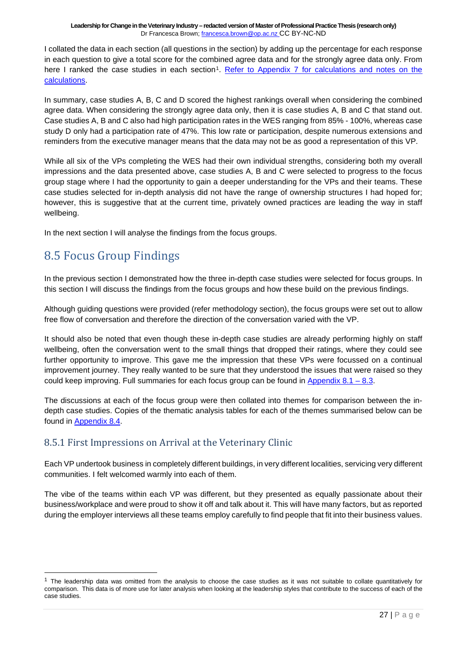I collated the data in each section (all questions in the section) by adding up the percentage for each response in each question to give a total score for the combined agree data and for the strongly agree data only. From here I ranked the case studies in each section<sup>[1](#page-26-2)</sup>. Refer to Appendix 7 for calculations and notes on the [calculations.](https://drive.google.com/file/d/1Ypuop85E00Vuk3UvO2wDGIIVqinw2k37/view?usp=sharing)

In summary, case studies A, B, C and D scored the highest rankings overall when considering the combined agree data. When considering the strongly agree data only, then it is case studies A, B and C that stand out. Case studies A, B and C also had high participation rates in the WES ranging from 85% - 100%, whereas case study D only had a participation rate of 47%. This low rate or participation, despite numerous extensions and reminders from the executive manager means that the data may not be as good a representation of this VP.

While all six of the VPs completing the WES had their own individual strengths, considering both my overall impressions and the data presented above, case studies A, B and C were selected to progress to the focus group stage where I had the opportunity to gain a deeper understanding for the VPs and their teams. These case studies selected for in-depth analysis did not have the range of ownership structures I had hoped for; however, this is suggestive that at the current time, privately owned practices are leading the way in staff wellbeing.

In the next section I will analyse the findings from the focus groups.

### <span id="page-26-0"></span>8.5 Focus Group Findings

In the previous section I demonstrated how the three in-depth case studies were selected for focus groups. In this section I will discuss the findings from the focus groups and how these build on the previous findings.

Although guiding questions were provided (refer methodology section), the focus groups were set out to allow free flow of conversation and therefore the direction of the conversation varied with the VP.

It should also be noted that even though these in-depth case studies are already performing highly on staff wellbeing, often the conversation went to the small things that dropped their ratings, where they could see further opportunity to improve. This gave me the impression that these VPs were focussed on a continual improvement journey. They really wanted to be sure that they understood the issues that were raised so they could keep improving. Full summaries for each focus group can be found in [Appendix](https://drive.google.com/file/d/1WMRF0lNlq6hkTNn4iF_iPzc0Dz6oosRE/view?usp=sharing) 8.1 – 8.3.

The discussions at each of the focus group were then collated into themes for comparison between the indepth case studies. Copies of the thematic analysis tables for each of the themes summarised below can be found in [Appendix 8.4.](https://drive.google.com/file/d/1WMRF0lNlq6hkTNn4iF_iPzc0Dz6oosRE/view?usp=sharing)

#### <span id="page-26-1"></span>8.5.1 First Impressions on Arrival at the Veterinary Clinic

Each VP undertook business in completely different buildings, in very different localities, servicing very different communities. I felt welcomed warmly into each of them.

The vibe of the teams within each VP was different, but they presented as equally passionate about their business/workplace and were proud to show it off and talk about it. This will have many factors, but as reported during the employer interviews all these teams employ carefully to find people that fit into their business values.

<span id="page-26-2"></span> $1$  The leadership data was omitted from the analysis to choose the case studies as it was not suitable to collate quantitatively for comparison. This data is of more use for later analysis when looking at the leadership styles that contribute to the success of each of the case studies.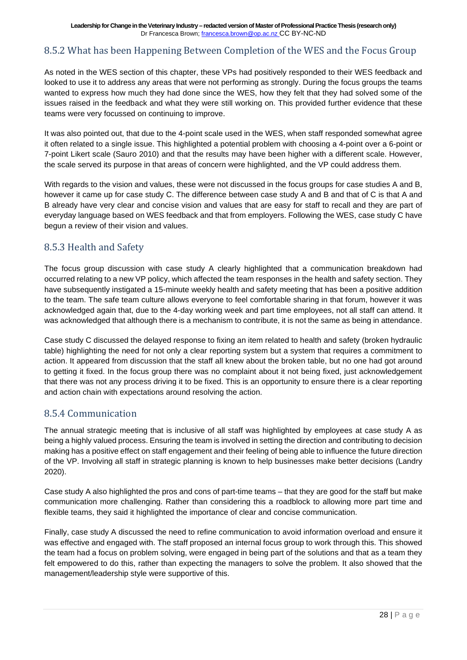#### <span id="page-27-0"></span>8.5.2 What has been Happening Between Completion of the WES and the Focus Group

As noted in the WES section of this chapter, these VPs had positively responded to their WES feedback and looked to use it to address any areas that were not performing as strongly. During the focus groups the teams wanted to express how much they had done since the WES, how they felt that they had solved some of the issues raised in the feedback and what they were still working on. This provided further evidence that these teams were very focussed on continuing to improve.

It was also pointed out, that due to the 4-point scale used in the WES, when staff responded somewhat agree it often related to a single issue. This highlighted a potential problem with choosing a 4-point over a 6-point or 7-point Likert scale (Sauro 2010) and that the results may have been higher with a different scale. However, the scale served its purpose in that areas of concern were highlighted, and the VP could address them.

With regards to the vision and values, these were not discussed in the focus groups for case studies A and B, however it came up for case study C. The difference between case study A and B and that of C is that A and B already have very clear and concise vision and values that are easy for staff to recall and they are part of everyday language based on WES feedback and that from employers. Following the WES, case study C have begun a review of their vision and values.

#### <span id="page-27-1"></span>8.5.3 Health and Safety

The focus group discussion with case study A clearly highlighted that a communication breakdown had occurred relating to a new VP policy, which affected the team responses in the health and safety section. They have subsequently instigated a 15-minute weekly health and safety meeting that has been a positive addition to the team. The safe team culture allows everyone to feel comfortable sharing in that forum, however it was acknowledged again that, due to the 4-day working week and part time employees, not all staff can attend. It was acknowledged that although there is a mechanism to contribute, it is not the same as being in attendance.

Case study C discussed the delayed response to fixing an item related to health and safety (broken hydraulic table) highlighting the need for not only a clear reporting system but a system that requires a commitment to action. It appeared from discussion that the staff all knew about the broken table, but no one had got around to getting it fixed. In the focus group there was no complaint about it not being fixed, just acknowledgement that there was not any process driving it to be fixed. This is an opportunity to ensure there is a clear reporting and action chain with expectations around resolving the action.

#### <span id="page-27-2"></span>8.5.4 Communication

The annual strategic meeting that is inclusive of all staff was highlighted by employees at case study A as being a highly valued process. Ensuring the team is involved in setting the direction and contributing to decision making has a positive effect on staff engagement and their feeling of being able to influence the future direction of the VP. Involving all staff in strategic planning is known to help businesses make better decisions (Landry 2020).

Case study A also highlighted the pros and cons of part-time teams – that they are good for the staff but make communication more challenging. Rather than considering this a roadblock to allowing more part time and flexible teams, they said it highlighted the importance of clear and concise communication.

Finally, case study A discussed the need to refine communication to avoid information overload and ensure it was effective and engaged with. The staff proposed an internal focus group to work through this. This showed the team had a focus on problem solving, were engaged in being part of the solutions and that as a team they felt empowered to do this, rather than expecting the managers to solve the problem. It also showed that the management/leadership style were supportive of this.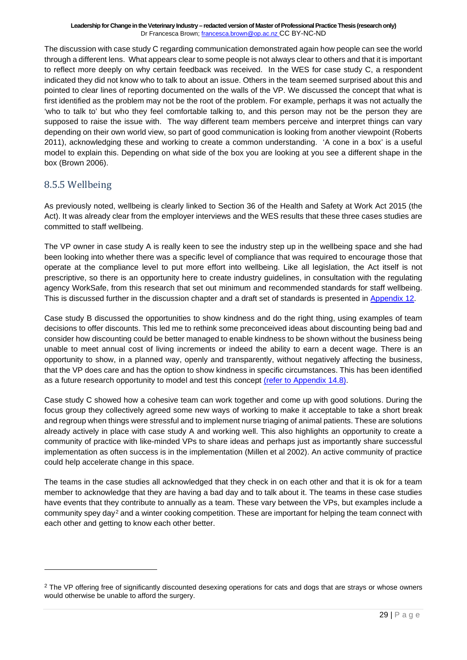The discussion with case study C regarding communication demonstrated again how people can see the world through a different lens. What appears clear to some people is not always clear to others and that it is important to reflect more deeply on why certain feedback was received. In the WES for case study C, a respondent indicated they did not know who to talk to about an issue. Others in the team seemed surprised about this and pointed to clear lines of reporting documented on the walls of the VP. We discussed the concept that what is first identified as the problem may not be the root of the problem. For example, perhaps it was not actually the 'who to talk to' but who they feel comfortable talking to, and this person may not be the person they are supposed to raise the issue with. The way different team members perceive and interpret things can vary depending on their own world view, so part of good communication is looking from another viewpoint (Roberts 2011), acknowledging these and working to create a common understanding. 'A cone in a box' is a useful model to explain this. Depending on what side of the box you are looking at you see a different shape in the box (Brown 2006).

#### <span id="page-28-0"></span>8.5.5 Wellbeing

As previously noted, wellbeing is clearly linked to Section 36 of the Health and Safety at Work Act 2015 (the Act). It was already clear from the employer interviews and the WES results that these three cases studies are committed to staff wellbeing.

The VP owner in case study A is really keen to see the industry step up in the wellbeing space and she had been looking into whether there was a specific level of compliance that was required to encourage those that operate at the compliance level to put more effort into wellbeing. Like all legislation, the Act itself is not prescriptive, so there is an opportunity here to create industry guidelines, in consultation with the regulating agency WorkSafe, from this research that set out minimum and recommended standards for staff wellbeing. This is discussed further in the discussion chapter and a draft set of standards is presented in [Appendix 12.](https://drive.google.com/file/d/18Urk9fp1qm5Cwq-XQ8BBH-5eoGDj-tHF/view?usp=sharing)

Case study B discussed the opportunities to show kindness and do the right thing, using examples of team decisions to offer discounts. This led me to rethink some preconceived ideas about discounting being bad and consider how discounting could be better managed to enable kindness to be shown without the business being unable to meet annual cost of living increments or indeed the ability to earn a decent wage. There is an opportunity to show, in a planned way, openly and transparently, without negatively affecting the business, that the VP does care and has the option to show kindness in specific circumstances. This has been identified as a future research opportunity to model and test this concept [\(refer to Appendix](https://drive.google.com/file/d/1MlXrzE_s7PfGv7scn23LrXPPT79tDttC/view?usp=sharing) 14.8).

Case study C showed how a cohesive team can work together and come up with good solutions. During the focus group they collectively agreed some new ways of working to make it acceptable to take a short break and regroup when things were stressful and to implement nurse triaging of animal patients. These are solutions already actively in place with case study A and working well. This also highlights an opportunity to create a community of practice with like-minded VPs to share ideas and perhaps just as importantly share successful implementation as often success is in the implementation (Millen et al 2002). An active community of practice could help accelerate change in this space.

The teams in the case studies all acknowledged that they check in on each other and that it is ok for a team member to acknowledge that they are having a bad day and to talk about it. The teams in these case studies have events that they contribute to annually as a team. These vary between the VPs, but examples include a community spey day[2](#page-28-1) and a winter cooking competition. These are important for helping the team connect with each other and getting to know each other better.

<span id="page-28-1"></span><sup>&</sup>lt;sup>2</sup> The VP offering free of significantly discounted desexing operations for cats and dogs that are strays or whose owners would otherwise be unable to afford the surgery.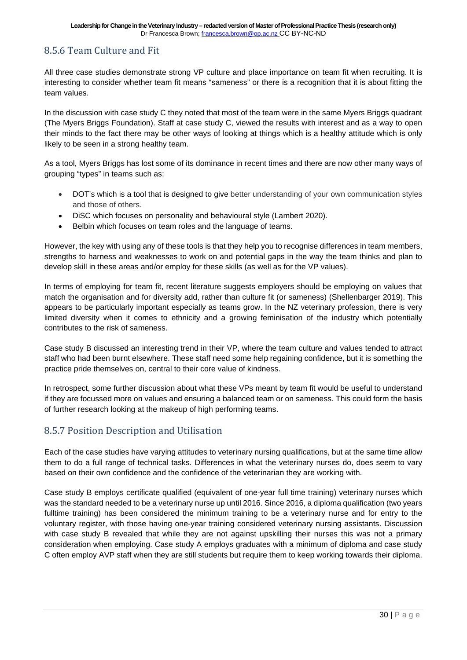#### <span id="page-29-0"></span>8.5.6 Team Culture and Fit

All three case studies demonstrate strong VP culture and place importance on team fit when recruiting. It is interesting to consider whether team fit means "sameness" or there is a recognition that it is about fitting the team values.

In the discussion with case study C they noted that most of the team were in the same Myers Briggs quadrant (The Myers Briggs Foundation). Staff at case study C, viewed the results with interest and as a way to open their minds to the fact there may be other ways of looking at things which is a healthy attitude which is only likely to be seen in a strong healthy team.

As a tool, Myers Briggs has lost some of its dominance in recent times and there are now other many ways of grouping "types" in teams such as:

- DOT's which is a tool that is designed to give better understanding of your own communication styles and those of others.
- DiSC which focuses on personality and behavioural style (Lambert 2020).
- Belbin which focuses on team roles and the language of teams.

However, the key with using any of these tools is that they help you to recognise differences in team members, strengths to harness and weaknesses to work on and potential gaps in the way the team thinks and plan to develop skill in these areas and/or employ for these skills (as well as for the VP values).

In terms of employing for team fit, recent literature suggests employers should be employing on values that match the organisation and for diversity add, rather than culture fit (or sameness) (Shellenbarger 2019). This appears to be particularly important especially as teams grow. In the NZ veterinary profession, there is very limited diversity when it comes to ethnicity and a growing feminisation of the industry which potentially contributes to the risk of sameness.

Case study B discussed an interesting trend in their VP, where the team culture and values tended to attract staff who had been burnt elsewhere. These staff need some help regaining confidence, but it is something the practice pride themselves on, central to their core value of kindness.

In retrospect, some further discussion about what these VPs meant by team fit would be useful to understand if they are focussed more on values and ensuring a balanced team or on sameness. This could form the basis of further research looking at the makeup of high performing teams.

#### <span id="page-29-1"></span>8.5.7 Position Description and Utilisation

Each of the case studies have varying attitudes to veterinary nursing qualifications, but at the same time allow them to do a full range of technical tasks. Differences in what the veterinary nurses do, does seem to vary based on their own confidence and the confidence of the veterinarian they are working with.

Case study B employs certificate qualified (equivalent of one-year full time training) veterinary nurses which was the standard needed to be a veterinary nurse up until 2016. Since 2016, a diploma qualification (two years fulltime training) has been considered the minimum training to be a veterinary nurse and for entry to the voluntary register, with those having one-year training considered veterinary nursing assistants. Discussion with case study B revealed that while they are not against upskilling their nurses this was not a primary consideration when employing. Case study A employs graduates with a minimum of diploma and case study C often employ AVP staff when they are still students but require them to keep working towards their diploma.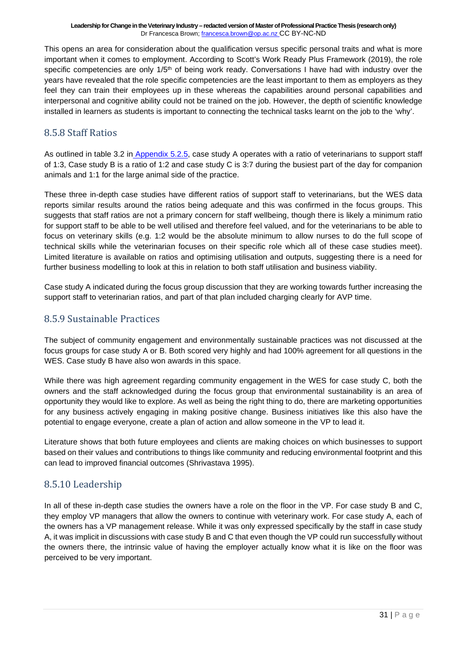This opens an area for consideration about the qualification versus specific personal traits and what is more important when it comes to employment. According to Scott's Work Ready Plus Framework (2019), the role specific competencies are only  $1/5<sup>th</sup>$  of being work ready. Conversations I have had with industry over the years have revealed that the role specific competencies are the least important to them as employers as they feel they can train their employees up in these whereas the capabilities around personal capabilities and interpersonal and cognitive ability could not be trained on the job. However, the depth of scientific knowledge installed in learners as students is important to connecting the technical tasks learnt on the job to the 'why'.

#### <span id="page-30-0"></span>8.5.8 Staff Ratios

As outlined in table 3.2 in [Appendix 5.2.5,](https://drive.google.com/file/d/1z3CF6RYkQw9C8mlJRT3zukn7kcnoLb-v/view?usp=sharing) case study A operates with a ratio of veterinarians to support staff of 1:3, Case study B is a ratio of 1:2 and case study C is 3:7 during the busiest part of the day for companion animals and 1:1 for the large animal side of the practice.

These three in-depth case studies have different ratios of support staff to veterinarians, but the WES data reports similar results around the ratios being adequate and this was confirmed in the focus groups. This suggests that staff ratios are not a primary concern for staff wellbeing, though there is likely a minimum ratio for support staff to be able to be well utilised and therefore feel valued, and for the veterinarians to be able to focus on veterinary skills (e.g. 1:2 would be the absolute minimum to allow nurses to do the full scope of technical skills while the veterinarian focuses on their specific role which all of these case studies meet). Limited literature is available on ratios and optimising utilisation and outputs, suggesting there is a need for further business modelling to look at this in relation to both staff utilisation and business viability.

Case study A indicated during the focus group discussion that they are working towards further increasing the support staff to veterinarian ratios, and part of that plan included charging clearly for AVP time.

#### <span id="page-30-1"></span>8.5.9 Sustainable Practices

The subject of community engagement and environmentally sustainable practices was not discussed at the focus groups for case study A or B. Both scored very highly and had 100% agreement for all questions in the WES. Case study B have also won awards in this space.

While there was high agreement regarding community engagement in the WES for case study C, both the owners and the staff acknowledged during the focus group that environmental sustainability is an area of opportunity they would like to explore. As well as being the right thing to do, there are marketing opportunities for any business actively engaging in making positive change. Business initiatives like this also have the potential to engage everyone, create a plan of action and allow someone in the VP to lead it.

Literature shows that both future employees and clients are making choices on which businesses to support based on their values and contributions to things like community and reducing environmental footprint and this can lead to improved financial outcomes (Shrivastava 1995).

#### <span id="page-30-2"></span>8.5.10 Leadership

In all of these in-depth case studies the owners have a role on the floor in the VP. For case study B and C, they employ VP managers that allow the owners to continue with veterinary work. For case study A, each of the owners has a VP management release. While it was only expressed specifically by the staff in case study A, it was implicit in discussions with case study B and C that even though the VP could run successfully without the owners there, the intrinsic value of having the employer actually know what it is like on the floor was perceived to be very important.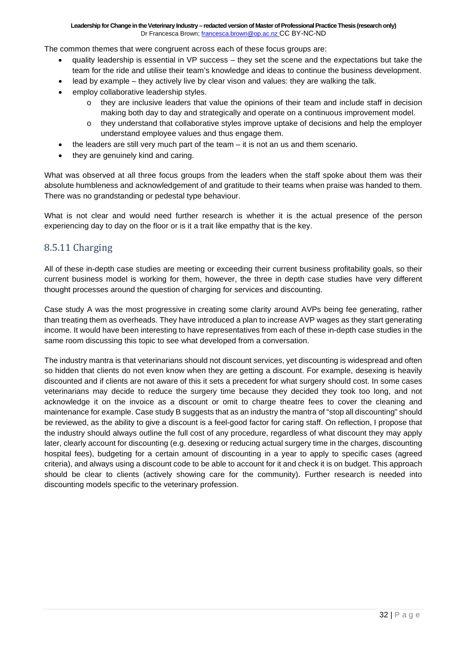The common themes that were congruent across each of these focus groups are:

- quality leadership is essential in VP success they set the scene and the expectations but take the team for the ride and utilise their team's knowledge and ideas to continue the business development.
- lead by example they actively live by clear vison and values: they are walking the talk.
- employ collaborative leadership styles.
	- $\circ$  they are inclusive leaders that value the opinions of their team and include staff in decision making both day to day and strategically and operate on a continuous improvement model.
	- o they understand that collaborative styles improve uptake of decisions and help the employer understand employee values and thus engage them.
- the leaders are still very much part of the team it is not an us and them scenario.
- they are genuinely kind and caring.

What was observed at all three focus groups from the leaders when the staff spoke about them was their absolute humbleness and acknowledgement of and gratitude to their teams when praise was handed to them. There was no grandstanding or pedestal type behaviour.

What is not clear and would need further research is whether it is the actual presence of the person experiencing day to day on the floor or is it a trait like empathy that is the key.

#### <span id="page-31-0"></span>8.5.11 Charging

All of these in-depth case studies are meeting or exceeding their current business profitability goals, so their current business model is working for them, however, the three in depth case studies have very different thought processes around the question of charging for services and discounting.

Case study A was the most progressive in creating some clarity around AVPs being fee generating, rather than treating them as overheads. They have introduced a plan to increase AVP wages as they start generating income. It would have been interesting to have representatives from each of these in-depth case studies in the same room discussing this topic to see what developed from a conversation.

The industry mantra is that veterinarians should not discount services, yet discounting is widespread and often so hidden that clients do not even know when they are getting a discount. For example, desexing is heavily discounted and if clients are not aware of this it sets a precedent for what surgery should cost. In some cases veterinarians may decide to reduce the surgery time because they decided they took too long, and not acknowledge it on the invoice as a discount or omit to charge theatre fees to cover the cleaning and maintenance for example. Case study B suggests that as an industry the mantra of "stop all discounting" should be reviewed, as the ability to give a discount is a feel-good factor for caring staff. On reflection, I propose that the industry should always outline the full cost of any procedure, regardless of what discount they may apply later, clearly account for discounting (e.g. desexing or reducing actual surgery time in the charges, discounting hospital fees), budgeting for a certain amount of discounting in a year to apply to specific cases (agreed criteria), and always using a discount code to be able to account for it and check it is on budget. This approach should be clear to clients (actively showing care for the community). Further research is needed into discounting models specific to the veterinary profession.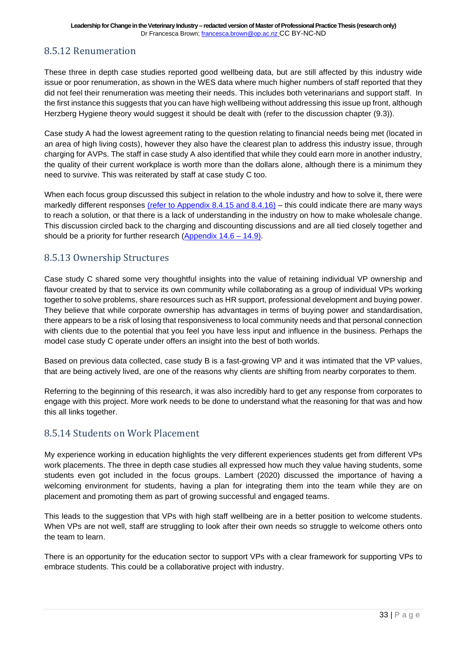#### <span id="page-32-0"></span>8.5.12 Renumeration

These three in depth case studies reported good wellbeing data, but are still affected by this industry wide issue or poor renumeration, as shown in the WES data where much higher numbers of staff reported that they did not feel their renumeration was meeting their needs. This includes both veterinarians and support staff. In the first instance this suggests that you can have high wellbeing without addressing this issue up front, although Herzberg Hygiene theory would suggest it should be dealt with (refer to the discussion chapter (9.3)).

Case study A had the lowest agreement rating to the question relating to financial needs being met (located in an area of high living costs), however they also have the clearest plan to address this industry issue, through charging for AVPs. The staff in case study A also identified that while they could earn more in another industry, the quality of their current workplace is worth more than the dollars alone, although there is a minimum they need to survive. This was reiterated by staff at case study C too.

When each focus group discussed this subject in relation to the whole industry and how to solve it, there were markedly different responses [\(refer to Appendix 8.4.15 and 8.4.16\)](https://drive.google.com/file/d/1WMRF0lNlq6hkTNn4iF_iPzc0Dz6oosRE/view?usp=sharing) – this could indicate there are many ways to reach a solution, or that there is a lack of understanding in the industry on how to make wholesale change. This discussion circled back to the charging and discounting discussions and are all tied closely together and should be a priority for further research [\(Appendix 14.6 –](https://drive.google.com/file/d/1MlXrzE_s7PfGv7scn23LrXPPT79tDttC/view?usp=sharing) 14.9).

#### <span id="page-32-1"></span>8.5.13 Ownership Structures

Case study C shared some very thoughtful insights into the value of retaining individual VP ownership and flavour created by that to service its own community while collaborating as a group of individual VPs working together to solve problems, share resources such as HR support, professional development and buying power. They believe that while corporate ownership has advantages in terms of buying power and standardisation, there appears to be a risk of losing that responsiveness to local community needs and that personal connection with clients due to the potential that you feel you have less input and influence in the business. Perhaps the model case study C operate under offers an insight into the best of both worlds.

Based on previous data collected, case study B is a fast-growing VP and it was intimated that the VP values, that are being actively lived, are one of the reasons why clients are shifting from nearby corporates to them.

Referring to the beginning of this research, it was also incredibly hard to get any response from corporates to engage with this project. More work needs to be done to understand what the reasoning for that was and how this all links together.

#### <span id="page-32-2"></span>8.5.14 Students on Work Placement

My experience working in education highlights the very different experiences students get from different VPs work placements. The three in depth case studies all expressed how much they value having students, some students even got included in the focus groups. Lambert (2020) discussed the importance of having a welcoming environment for students, having a plan for integrating them into the team while they are on placement and promoting them as part of growing successful and engaged teams.

This leads to the suggestion that VPs with high staff wellbeing are in a better position to welcome students. When VPs are not well, staff are struggling to look after their own needs so struggle to welcome others onto the team to learn.

There is an opportunity for the education sector to support VPs with a clear framework for supporting VPs to embrace students. This could be a collaborative project with industry.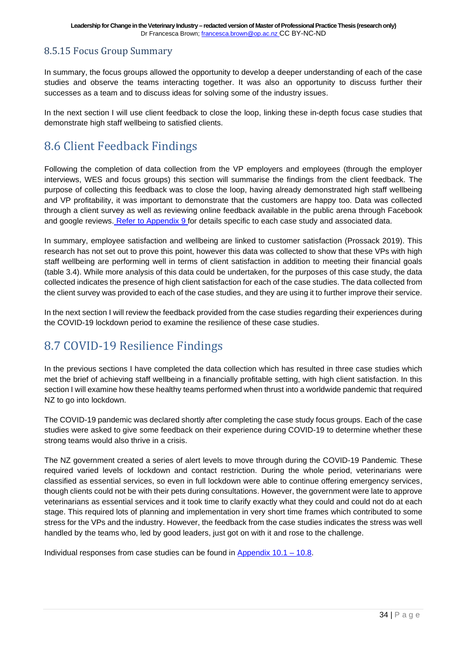#### <span id="page-33-0"></span>8.5.15 Focus Group Summary

In summary, the focus groups allowed the opportunity to develop a deeper understanding of each of the case studies and observe the teams interacting together. It was also an opportunity to discuss further their successes as a team and to discuss ideas for solving some of the industry issues.

In the next section I will use client feedback to close the loop, linking these in-depth focus case studies that demonstrate high staff wellbeing to satisfied clients.

### <span id="page-33-1"></span>8.6 Client Feedback Findings

Following the completion of data collection from the VP employers and employees (through the employer interviews, WES and focus groups) this section will summarise the findings from the client feedback. The purpose of collecting this feedback was to close the loop, having already demonstrated high staff wellbeing and VP profitability, it was important to demonstrate that the customers are happy too. Data was collected through a client survey as well as reviewing online feedback available in the public arena through Facebook and google reviews. [Refer to Appendix 9 f](https://drive.google.com/file/d/1IOD1sUICYcIbZnaF2YAB8yVoN4fdN9xi/view?usp=sharing)or details specific to each case study and associated data.

In summary, employee satisfaction and wellbeing are linked to customer satisfaction (Prossack 2019). This research has not set out to prove this point, however this data was collected to show that these VPs with high staff wellbeing are performing well in terms of client satisfaction in addition to meeting their financial goals (table 3.4). While more analysis of this data could be undertaken, for the purposes of this case study, the data collected indicates the presence of high client satisfaction for each of the case studies. The data collected from the client survey was provided to each of the case studies, and they are using it to further improve their service.

In the next section I will review the feedback provided from the case studies regarding their experiences during the COVID-19 lockdown period to examine the resilience of these case studies.

### <span id="page-33-2"></span>8.7 COVID-19 Resilience Findings

In the previous sections I have completed the data collection which has resulted in three case studies which met the brief of achieving staff wellbeing in a financially profitable setting, with high client satisfaction. In this section I will examine how these healthy teams performed when thrust into a worldwide pandemic that required NZ to go into lockdown.

The COVID-19 pandemic was declared shortly after completing the case study focus groups. Each of the case studies were asked to give some feedback on their experience during COVID-19 to determine whether these strong teams would also thrive in a crisis.

The NZ government created a series of alert levels to move through during the COVID-19 Pandemic. These required varied levels of lockdown and contact restriction. During the whole period, veterinarians were classified as essential services, so even in full lockdown were able to continue offering emergency services, though clients could not be with their pets during consultations. However, the government were late to approve veterinarians as essential services and it took time to clarify exactly what they could and could not do at each stage. This required lots of planning and implementation in very short time frames which contributed to some stress for the VPs and the industry. However, the feedback from the case studies indicates the stress was well handled by the teams who, led by good leaders, just got on with it and rose to the challenge.

Individual responses from case studies can be found in [Appendix](https://drive.google.com/file/d/1-bbIli8KRLZdOrUf3pRhCYbQD7w_C26B/view?usp=sharing)  $10.1 - 10.8$ .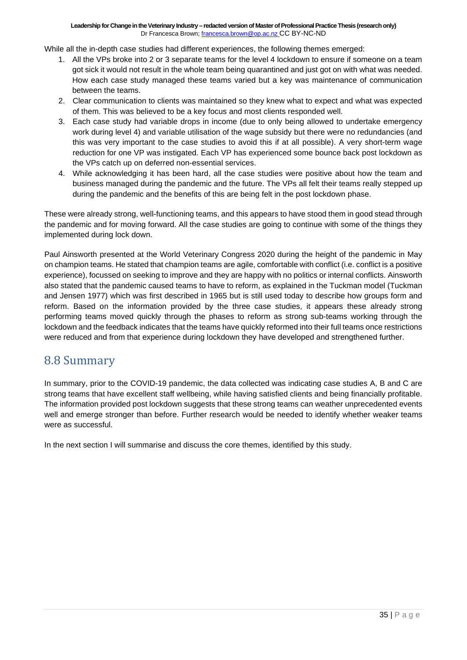While all the in-depth case studies had different experiences, the following themes emerged:

- 1. All the VPs broke into 2 or 3 separate teams for the level 4 lockdown to ensure if someone on a team got sick it would not result in the whole team being quarantined and just got on with what was needed. How each case study managed these teams varied but a key was maintenance of communication between the teams.
- 2. Clear communication to clients was maintained so they knew what to expect and what was expected of them. This was believed to be a key focus and most clients responded well.
- 3. Each case study had variable drops in income (due to only being allowed to undertake emergency work during level 4) and variable utilisation of the wage subsidy but there were no redundancies (and this was very important to the case studies to avoid this if at all possible). A very short-term wage reduction for one VP was instigated. Each VP has experienced some bounce back post lockdown as the VPs catch up on deferred non-essential services.
- 4. While acknowledging it has been hard, all the case studies were positive about how the team and business managed during the pandemic and the future. The VPs all felt their teams really stepped up during the pandemic and the benefits of this are being felt in the post lockdown phase.

These were already strong, well-functioning teams, and this appears to have stood them in good stead through the pandemic and for moving forward. All the case studies are going to continue with some of the things they implemented during lock down.

Paul Ainsworth presented at the World Veterinary Congress 2020 during the height of the pandemic in May on champion teams. He stated that champion teams are agile, comfortable with conflict (i.e. conflict is a positive experience), focussed on seeking to improve and they are happy with no politics or internal conflicts. Ainsworth also stated that the pandemic caused teams to have to reform, as explained in the Tuckman model (Tuckman and Jensen 1977) which was first described in 1965 but is still used today to describe how groups form and reform. Based on the information provided by the three case studies, it appears these already strong performing teams moved quickly through the phases to reform as strong sub-teams working through the lockdown and the feedback indicates that the teams have quickly reformed into their full teams once restrictions were reduced and from that experience during lockdown they have developed and strengthened further.

### <span id="page-34-0"></span>8.8 Summary

In summary, prior to the COVID-19 pandemic, the data collected was indicating case studies A, B and C are strong teams that have excellent staff wellbeing, while having satisfied clients and being financially profitable. The information provided post lockdown suggests that these strong teams can weather unprecedented events well and emerge stronger than before. Further research would be needed to identify whether weaker teams were as successful.

In the next section I will summarise and discuss the core themes, identified by this study.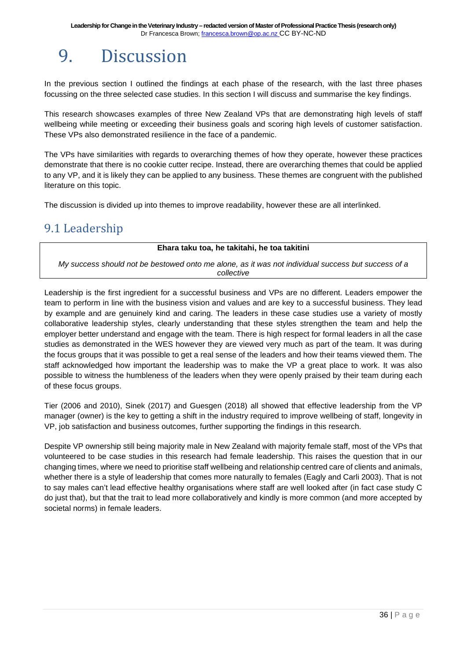## <span id="page-35-0"></span>9. Discussion

In the previous section I outlined the findings at each phase of the research, with the last three phases focussing on the three selected case studies. In this section I will discuss and summarise the key findings.

This research showcases examples of three New Zealand VPs that are demonstrating high levels of staff wellbeing while meeting or exceeding their business goals and scoring high levels of customer satisfaction. These VPs also demonstrated resilience in the face of a pandemic.

The VPs have similarities with regards to overarching themes of how they operate, however these practices demonstrate that there is no cookie cutter recipe. Instead, there are overarching themes that could be applied to any VP, and it is likely they can be applied to any business. These themes are congruent with the published literature on this topic.

The discussion is divided up into themes to improve readability, however these are all interlinked.

### <span id="page-35-1"></span>9.1 Leadership

#### **Ehara taku toa, he takitahi, he toa takitini**

*My success should not be bestowed onto me alone, as it was not individual success but success of a collective*

Leadership is the first ingredient for a successful business and VPs are no different. Leaders empower the team to perform in line with the business vision and values and are key to a successful business. They lead by example and are genuinely kind and caring. The leaders in these case studies use a variety of mostly collaborative leadership styles, clearly understanding that these styles strengthen the team and help the employer better understand and engage with the team. There is high respect for formal leaders in all the case studies as demonstrated in the WES however they are viewed very much as part of the team. It was during the focus groups that it was possible to get a real sense of the leaders and how their teams viewed them. The staff acknowledged how important the leadership was to make the VP a great place to work. It was also possible to witness the humbleness of the leaders when they were openly praised by their team during each of these focus groups.

Tier (2006 and 2010), Sinek (2017) and Guesgen (2018) all showed that effective leadership from the VP manager (owner) is the key to getting a shift in the industry required to improve wellbeing of staff, longevity in VP, job satisfaction and business outcomes, further supporting the findings in this research.

Despite VP ownership still being majority male in New Zealand with majority female staff, most of the VPs that volunteered to be case studies in this research had female leadership. This raises the question that in our changing times, where we need to prioritise staff wellbeing and relationship centred care of clients and animals, whether there is a style of leadership that comes more naturally to females (Eagly and Carli 2003). That is not to say males can't lead effective healthy organisations where staff are well looked after (in fact case study C do just that), but that the trait to lead more collaboratively and kindly is more common (and more accepted by societal norms) in female leaders.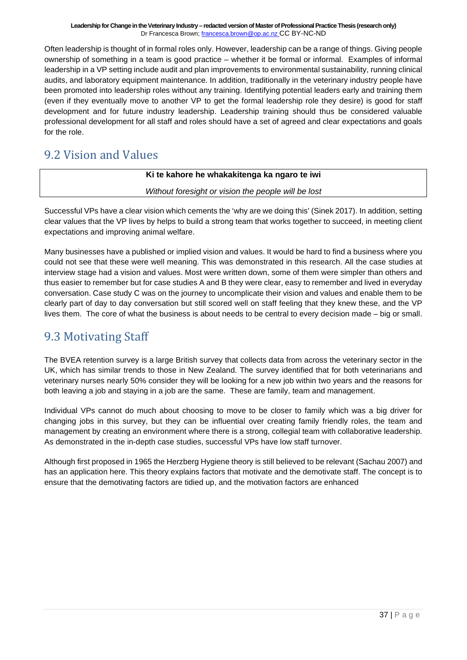Often leadership is thought of in formal roles only. However, leadership can be a range of things. Giving people ownership of something in a team is good practice – whether it be formal or informal. Examples of informal leadership in a VP setting include audit and plan improvements to environmental sustainability, running clinical audits, and laboratory equipment maintenance. In addition, traditionally in the veterinary industry people have been promoted into leadership roles without any training. Identifying potential leaders early and training them (even if they eventually move to another VP to get the formal leadership role they desire) is good for staff development and for future industry leadership. Leadership training should thus be considered valuable professional development for all staff and roles should have a set of agreed and clear expectations and goals for the role.

### <span id="page-36-0"></span>9.2 Vision and Values

#### **Ki te kahore he whakakitenga ka ngaro te iwi**

*Without foresight or vision the people will be lost*

Successful VPs have a clear vision which cements the 'why are we doing this' (Sinek 2017). In addition, setting clear values that the VP lives by helps to build a strong team that works together to succeed, in meeting client expectations and improving animal welfare.

Many businesses have a published or implied vision and values. It would be hard to find a business where you could not see that these were well meaning. This was demonstrated in this research. All the case studies at interview stage had a vision and values. Most were written down, some of them were simpler than others and thus easier to remember but for case studies A and B they were clear, easy to remember and lived in everyday conversation. Case study C was on the journey to uncomplicate their vision and values and enable them to be clearly part of day to day conversation but still scored well on staff feeling that they knew these, and the VP lives them. The core of what the business is about needs to be central to every decision made – big or small.

### <span id="page-36-1"></span>9.3 Motivating Staff

The BVEA retention survey is a large British survey that collects data from across the veterinary sector in the UK, which has similar trends to those in New Zealand. The survey identified that for both veterinarians and veterinary nurses nearly 50% consider they will be looking for a new job within two years and the reasons for both leaving a job and staying in a job are the same. These are family, team and management.

Individual VPs cannot do much about choosing to move to be closer to family which was a big driver for changing jobs in this survey, but they can be influential over creating family friendly roles, the team and management by creating an environment where there is a strong, collegial team with collaborative leadership. As demonstrated in the in-depth case studies, successful VPs have low staff turnover.

Although first proposed in 1965 the Herzberg Hygiene theory is still believed to be relevant (Sachau 2007) and has an application here. This theory explains factors that motivate and the demotivate staff. The concept is to ensure that the demotivating factors are tidied up, and the motivation factors are enhanced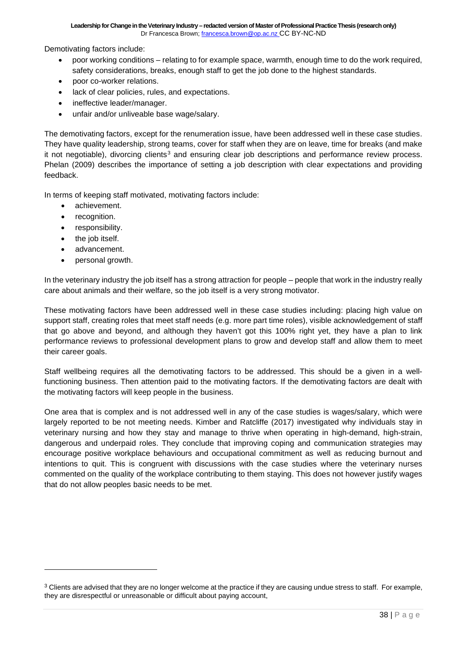Demotivating factors include:

- poor working conditions relating to for example space, warmth, enough time to do the work required, safety considerations, breaks, enough staff to get the job done to the highest standards.
- poor co-worker relations.
- lack of clear policies, rules, and expectations.
- ineffective leader/manager.
- unfair and/or unliveable base wage/salary.

The demotivating factors, except for the renumeration issue, have been addressed well in these case studies. They have quality leadership, strong teams, cover for staff when they are on leave, time for breaks (and make it not negotiable), divorcing clients<sup>[3](#page-37-0)</sup> and ensuring clear job descriptions and performance review process. Phelan (2009) describes the importance of setting a job description with clear expectations and providing feedback.

In terms of keeping staff motivated, motivating factors include:

- achievement.
- recognition.
- responsibility.
- the job itself.
- advancement.
- personal growth.

In the veterinary industry the job itself has a strong attraction for people – people that work in the industry really care about animals and their welfare, so the job itself is a very strong motivator.

These motivating factors have been addressed well in these case studies including: placing high value on support staff, creating roles that meet staff needs (e.g. more part time roles), visible acknowledgement of staff that go above and beyond, and although they haven't got this 100% right yet, they have a plan to link performance reviews to professional development plans to grow and develop staff and allow them to meet their career goals.

Staff wellbeing requires all the demotivating factors to be addressed. This should be a given in a wellfunctioning business. Then attention paid to the motivating factors. If the demotivating factors are dealt with the motivating factors will keep people in the business.

One area that is complex and is not addressed well in any of the case studies is wages/salary, which were largely reported to be not meeting needs. Kimber and Ratcliffe (2017) investigated why individuals stay in veterinary nursing and how they stay and manage to thrive when operating in high-demand, high-strain, dangerous and underpaid roles. They conclude that improving coping and communication strategies may encourage positive workplace behaviours and occupational commitment as well as reducing burnout and intentions to quit. This is congruent with discussions with the case studies where the veterinary nurses commented on the quality of the workplace contributing to them staying. This does not however justify wages that do not allow peoples basic needs to be met.

<span id="page-37-0"></span><sup>&</sup>lt;sup>3</sup> Clients are advised that they are no longer welcome at the practice if they are causing undue stress to staff. For example, they are disrespectful or unreasonable or difficult about paying account,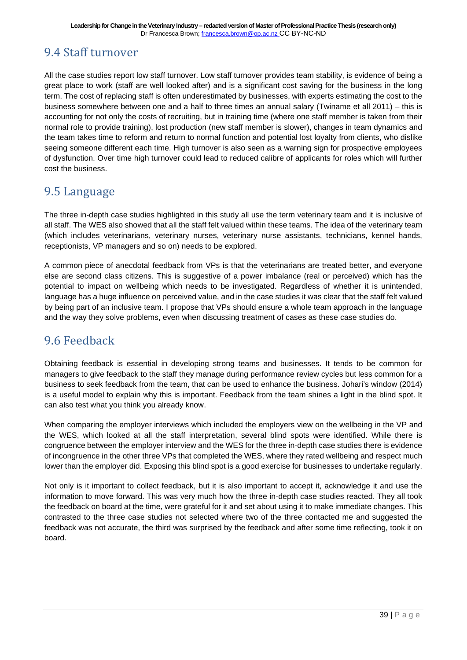### <span id="page-38-0"></span>9.4 Staff turnover

All the case studies report low staff turnover. Low staff turnover provides team stability, is evidence of being a great place to work (staff are well looked after) and is a significant cost saving for the business in the long term. The cost of replacing staff is often underestimated by businesses, with experts estimating the cost to the business somewhere between one and a half to three times an annual salary (Twiname et all 2011) – this is accounting for not only the costs of recruiting, but in training time (where one staff member is taken from their normal role to provide training), lost production (new staff member is slower), changes in team dynamics and the team takes time to reform and return to normal function and potential lost loyalty from clients, who dislike seeing someone different each time. High turnover is also seen as a warning sign for prospective employees of dysfunction. Over time high turnover could lead to reduced calibre of applicants for roles which will further cost the business.

### <span id="page-38-1"></span>9.5 Language

The three in-depth case studies highlighted in this study all use the term veterinary team and it is inclusive of all staff. The WES also showed that all the staff felt valued within these teams. The idea of the veterinary team (which includes veterinarians, veterinary nurses, veterinary nurse assistants, technicians, kennel hands, receptionists, VP managers and so on) needs to be explored.

A common piece of anecdotal feedback from VPs is that the veterinarians are treated better, and everyone else are second class citizens. This is suggestive of a power imbalance (real or perceived) which has the potential to impact on wellbeing which needs to be investigated. Regardless of whether it is unintended, language has a huge influence on perceived value, and in the case studies it was clear that the staff felt valued by being part of an inclusive team. I propose that VPs should ensure a whole team approach in the language and the way they solve problems, even when discussing treatment of cases as these case studies do.

### <span id="page-38-2"></span>9.6 Feedback

Obtaining feedback is essential in developing strong teams and businesses. It tends to be common for managers to give feedback to the staff they manage during performance review cycles but less common for a business to seek feedback from the team, that can be used to enhance the business. Johari's window (2014) is a useful model to explain why this is important. Feedback from the team shines a light in the blind spot. It can also test what you think you already know.

When comparing the employer interviews which included the employers view on the wellbeing in the VP and the WES, which looked at all the staff interpretation, several blind spots were identified. While there is congruence between the employer interview and the WES for the three in-depth case studies there is evidence of incongruence in the other three VPs that completed the WES, where they rated wellbeing and respect much lower than the employer did. Exposing this blind spot is a good exercise for businesses to undertake regularly.

Not only is it important to collect feedback, but it is also important to accept it, acknowledge it and use the information to move forward. This was very much how the three in-depth case studies reacted. They all took the feedback on board at the time, were grateful for it and set about using it to make immediate changes. This contrasted to the three case studies not selected where two of the three contacted me and suggested the feedback was not accurate, the third was surprised by the feedback and after some time reflecting, took it on board.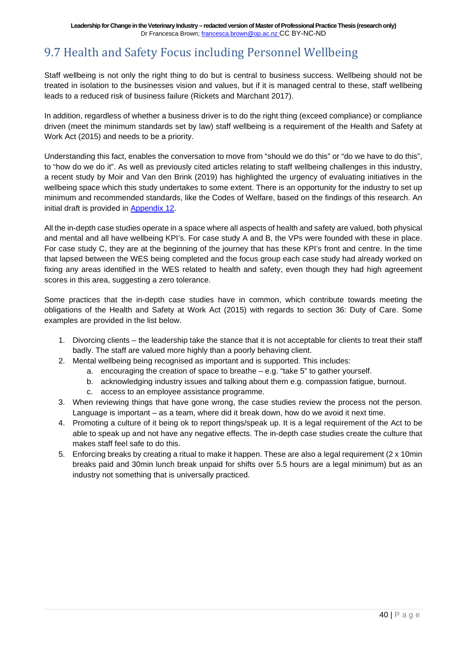### <span id="page-39-0"></span>9.7 Health and Safety Focus including Personnel Wellbeing

Staff wellbeing is not only the right thing to do but is central to business success. Wellbeing should not be treated in isolation to the businesses vision and values, but if it is managed central to these, staff wellbeing leads to a reduced risk of business failure (Rickets and Marchant 2017).

In addition, regardless of whether a business driver is to do the right thing (exceed compliance) or compliance driven (meet the minimum standards set by law) staff wellbeing is a requirement of the Health and Safety at Work Act (2015) and needs to be a priority.

Understanding this fact, enables the conversation to move from "should we do this" or "do we have to do this", to "how do we do it". As well as previously cited articles relating to staff wellbeing challenges in this industry, a recent study by Moir and Van den Brink (2019) has highlighted the urgency of evaluating initiatives in the wellbeing space which this study undertakes to some extent. There is an opportunity for the industry to set up minimum and recommended standards, like the Codes of Welfare, based on the findings of this research. An initial draft is provided in [Appendix 12.](https://drive.google.com/file/d/18Urk9fp1qm5Cwq-XQ8BBH-5eoGDj-tHF/view?usp=sharing)

All the in-depth case studies operate in a space where all aspects of health and safety are valued, both physical and mental and all have wellbeing KPI's. For case study A and B, the VPs were founded with these in place. For case study C, they are at the beginning of the journey that has these KPI's front and centre. In the time that lapsed between the WES being completed and the focus group each case study had already worked on fixing any areas identified in the WES related to health and safety, even though they had high agreement scores in this area, suggesting a zero tolerance.

Some practices that the in-depth case studies have in common, which contribute towards meeting the obligations of the Health and Safety at Work Act (2015) with regards to section 36: Duty of Care. Some examples are provided in the list below.

- 1. Divorcing clients the leadership take the stance that it is not acceptable for clients to treat their staff badly. The staff are valued more highly than a poorly behaving client.
- 2. Mental wellbeing being recognised as important and is supported. This includes:
	- a. encouraging the creation of space to breathe e.g. "take 5" to gather yourself.
	- b. acknowledging industry issues and talking about them e.g. compassion fatigue, burnout.
	- c. access to an employee assistance programme.
- 3. When reviewing things that have gone wrong, the case studies review the process not the person. Language is important – as a team, where did it break down, how do we avoid it next time.
- 4. Promoting a culture of it being ok to report things/speak up. It is a legal requirement of the Act to be able to speak up and not have any negative effects. The in-depth case studies create the culture that makes staff feel safe to do this.
- 5. Enforcing breaks by creating a ritual to make it happen. These are also a legal requirement (2 x 10min breaks paid and 30min lunch break unpaid for shifts over 5.5 hours are a legal minimum) but as an industry not something that is universally practiced.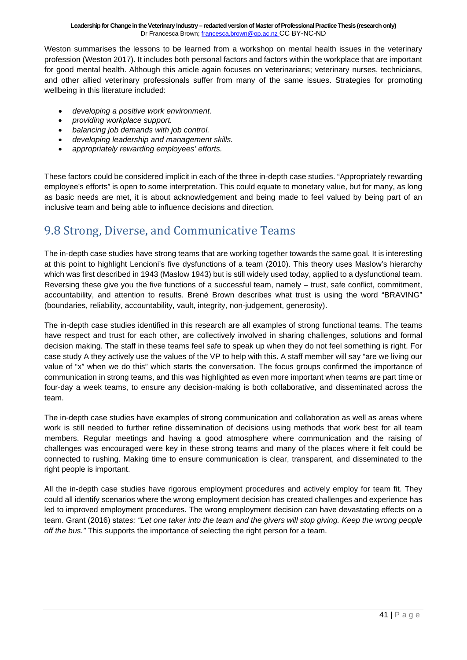Weston summarises the lessons to be learned from a workshop on mental health issues in the veterinary profession (Weston 2017). It includes both personal factors and factors within the workplace that are important for good mental health. Although this article again focuses on veterinarians; veterinary nurses, technicians, and other allied veterinary professionals suffer from many of the same issues. Strategies for promoting wellbeing in this literature included:

- *developing a positive work environment.*
- *providing workplace support.*
- *balancing job demands with job control.*
- *developing leadership and management skills.*
- *appropriately rewarding employees' efforts.*

These factors could be considered implicit in each of the three in-depth case studies. "Appropriately rewarding employee's efforts" is open to some interpretation. This could equate to monetary value, but for many, as long as basic needs are met, it is about acknowledgement and being made to feel valued by being part of an inclusive team and being able to influence decisions and direction.

### <span id="page-40-0"></span>9.8 Strong, Diverse, and Communicative Teams

The in-depth case studies have strong teams that are working together towards the same goal. It is interesting at this point to highlight Lencioni's five dysfunctions of a team (2010). This theory uses Maslow's hierarchy which was first described in 1943 (Maslow 1943) but is still widely used today, applied to a dysfunctional team. Reversing these give you the five functions of a successful team, namely – trust, safe conflict, commitment, accountability, and attention to results. Brené Brown describes what trust is using the word "BRAVING" (boundaries, reliability, accountability, vault, integrity, non-judgement, generosity).

The in-depth case studies identified in this research are all examples of strong functional teams. The teams have respect and trust for each other, are collectively involved in sharing challenges, solutions and formal decision making. The staff in these teams feel safe to speak up when they do not feel something is right. For case study A they actively use the values of the VP to help with this. A staff member will say "are we living our value of "x" when we do this" which starts the conversation. The focus groups confirmed the importance of communication in strong teams, and this was highlighted as even more important when teams are part time or four-day a week teams, to ensure any decision-making is both collaborative, and disseminated across the team.

The in-depth case studies have examples of strong communication and collaboration as well as areas where work is still needed to further refine dissemination of decisions using methods that work best for all team members. Regular meetings and having a good atmosphere where communication and the raising of challenges was encouraged were key in these strong teams and many of the places where it felt could be connected to rushing. Making time to ensure communication is clear, transparent, and disseminated to the right people is important.

All the in-depth case studies have rigorous employment procedures and actively employ for team fit. They could all identify scenarios where the wrong employment decision has created challenges and experience has led to improved employment procedures. The wrong employment decision can have devastating effects on a team. Grant (2016) state*s: "Let one taker into the team and the givers will stop giving. Keep the wrong people off the bus."* This supports the importance of selecting the right person for a team.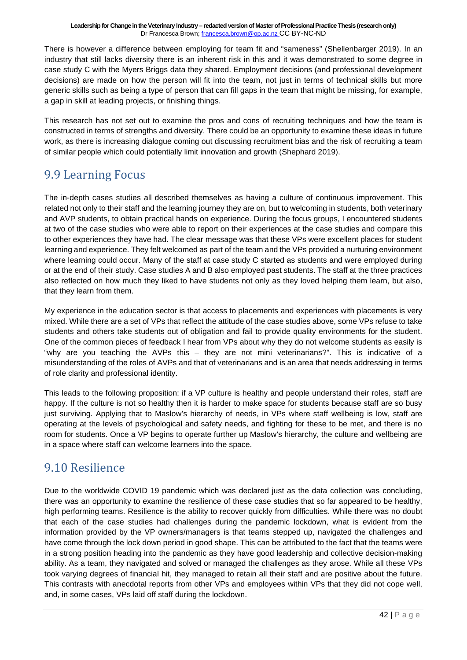There is however a difference between employing for team fit and "sameness" (Shellenbarger 2019). In an industry that still lacks diversity there is an inherent risk in this and it was demonstrated to some degree in case study C with the Myers Briggs data they shared. Employment decisions (and professional development decisions) are made on how the person will fit into the team, not just in terms of technical skills but more generic skills such as being a type of person that can fill gaps in the team that might be missing, for example, a gap in skill at leading projects, or finishing things.

This research has not set out to examine the pros and cons of recruiting techniques and how the team is constructed in terms of strengths and diversity. There could be an opportunity to examine these ideas in future work, as there is increasing dialogue coming out discussing recruitment bias and the risk of recruiting a team of similar people which could potentially limit innovation and growth (Shephard 2019).

### <span id="page-41-0"></span>9.9 Learning Focus

The in-depth cases studies all described themselves as having a culture of continuous improvement. This related not only to their staff and the learning journey they are on, but to welcoming in students, both veterinary and AVP students, to obtain practical hands on experience. During the focus groups, I encountered students at two of the case studies who were able to report on their experiences at the case studies and compare this to other experiences they have had. The clear message was that these VPs were excellent places for student learning and experience. They felt welcomed as part of the team and the VPs provided a nurturing environment where learning could occur. Many of the staff at case study C started as students and were employed during or at the end of their study. Case studies A and B also employed past students. The staff at the three practices also reflected on how much they liked to have students not only as they loved helping them learn, but also, that they learn from them.

My experience in the education sector is that access to placements and experiences with placements is very mixed. While there are a set of VPs that reflect the attitude of the case studies above, some VPs refuse to take students and others take students out of obligation and fail to provide quality environments for the student. One of the common pieces of feedback I hear from VPs about why they do not welcome students as easily is "why are you teaching the AVPs this – they are not mini veterinarians?". This is indicative of a misunderstanding of the roles of AVPs and that of veterinarians and is an area that needs addressing in terms of role clarity and professional identity.

This leads to the following proposition: if a VP culture is healthy and people understand their roles, staff are happy. If the culture is not so healthy then it is harder to make space for students because staff are so busy just surviving. Applying that to Maslow's hierarchy of needs, in VPs where staff wellbeing is low, staff are operating at the levels of psychological and safety needs, and fighting for these to be met, and there is no room for students. Once a VP begins to operate further up Maslow's hierarchy, the culture and wellbeing are in a space where staff can welcome learners into the space.

### <span id="page-41-1"></span>9.10 Resilience

Due to the worldwide COVID 19 pandemic which was declared just as the data collection was concluding, there was an opportunity to examine the resilience of these case studies that so far appeared to be healthy, high performing teams. Resilience is the ability to recover quickly from difficulties. While there was no doubt that each of the case studies had challenges during the pandemic lockdown, what is evident from the information provided by the VP owners/managers is that teams stepped up, navigated the challenges and have come through the lock down period in good shape. This can be attributed to the fact that the teams were in a strong position heading into the pandemic as they have good leadership and collective decision-making ability. As a team, they navigated and solved or managed the challenges as they arose. While all these VPs took varying degrees of financial hit, they managed to retain all their staff and are positive about the future. This contrasts with anecdotal reports from other VPs and employees within VPs that they did not cope well, and, in some cases, VPs laid off staff during the lockdown.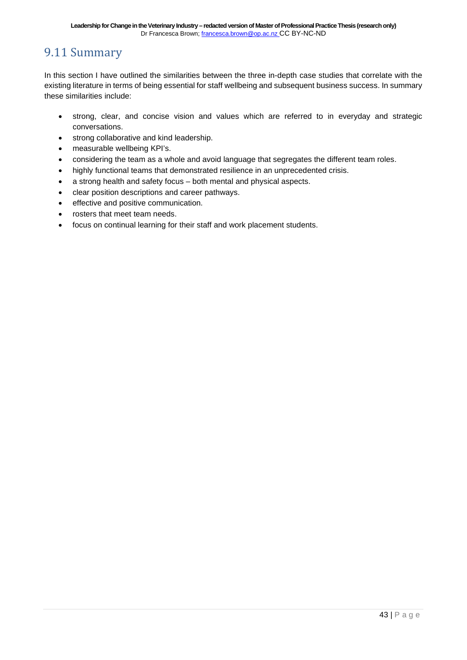### <span id="page-42-0"></span>9.11 Summary

In this section I have outlined the similarities between the three in-depth case studies that correlate with the existing literature in terms of being essential for staff wellbeing and subsequent business success. In summary these similarities include:

- strong, clear, and concise vision and values which are referred to in everyday and strategic conversations.
- strong collaborative and kind leadership.
- measurable wellbeing KPI's.
- considering the team as a whole and avoid language that segregates the different team roles.
- highly functional teams that demonstrated resilience in an unprecedented crisis.
- a strong health and safety focus both mental and physical aspects.
- clear position descriptions and career pathways.
- effective and positive communication.
- rosters that meet team needs.
- focus on continual learning for their staff and work placement students.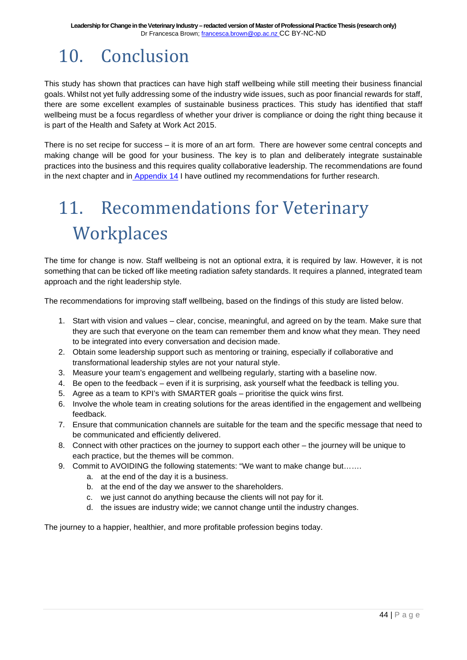## <span id="page-43-0"></span>10. Conclusion

This study has shown that practices can have high staff wellbeing while still meeting their business financial goals. Whilst not yet fully addressing some of the industry wide issues, such as poor financial rewards for staff, there are some excellent examples of sustainable business practices. This study has identified that staff wellbeing must be a focus regardless of whether your driver is compliance or doing the right thing because it is part of the Health and Safety at Work Act 2015.

There is no set recipe for success – it is more of an art form. There are however some central concepts and making change will be good for your business. The key is to plan and deliberately integrate sustainable practices into the business and this requires quality collaborative leadership. The recommendations are found in the next chapter and in [Appendix 14](https://drive.google.com/file/d/1MlXrzE_s7PfGv7scn23LrXPPT79tDttC/view?usp=sharing) I have outlined my recommendations for further research.

## <span id="page-43-1"></span>11. Recommendations for Veterinary **Workplaces**

The time for change is now. Staff wellbeing is not an optional extra, it is required by law. However, it is not something that can be ticked off like meeting radiation safety standards. It requires a planned, integrated team approach and the right leadership style.

The recommendations for improving staff wellbeing, based on the findings of this study are listed below.

- 1. Start with vision and values clear, concise, meaningful, and agreed on by the team. Make sure that they are such that everyone on the team can remember them and know what they mean. They need to be integrated into every conversation and decision made.
- 2. Obtain some leadership support such as mentoring or training, especially if collaborative and transformational leadership styles are not your natural style.
- 3. Measure your team's engagement and wellbeing regularly, starting with a baseline now.
- 4. Be open to the feedback even if it is surprising, ask yourself what the feedback is telling you.
- 5. Agree as a team to KPI's with SMARTER goals prioritise the quick wins first.
- 6. Involve the whole team in creating solutions for the areas identified in the engagement and wellbeing feedback.
- 7. Ensure that communication channels are suitable for the team and the specific message that need to be communicated and efficiently delivered.
- 8. Connect with other practices on the journey to support each other the journey will be unique to each practice, but the themes will be common.
- 9. Commit to AVOIDING the following statements: "We want to make change but…….
	- a. at the end of the day it is a business.
	- b. at the end of the day we answer to the shareholders.
	- c. we just cannot do anything because the clients will not pay for it.
	- d. the issues are industry wide; we cannot change until the industry changes.

The journey to a happier, healthier, and more profitable profession begins today.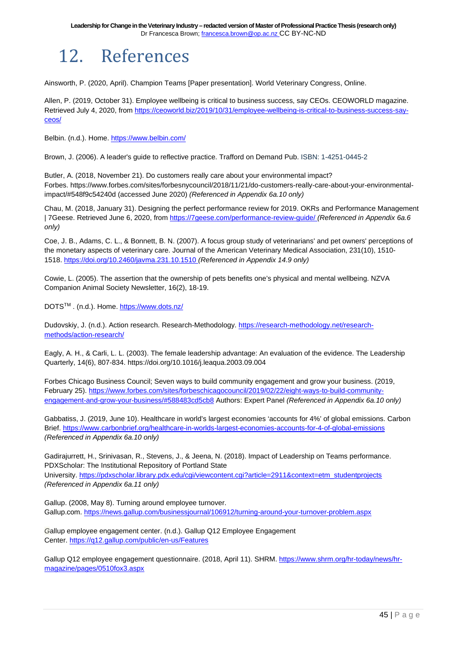## <span id="page-44-0"></span>12. References

Ainsworth, P. (2020, April). Champion Teams [Paper presentation]. World Veterinary Congress, Online.

Allen, P. (2019, October 31). Employee wellbeing is critical to business success, say CEOs. CEOWORLD magazine. Retrieved July 4, 2020, from [https://ceoworld.biz/2019/10/31/employee-wellbeing-is-critical-to-business-success-say](https://ceoworld.biz/2019/10/31/employee-well-being-is-critical-to-business-success-say-ceos/)[ceos/](https://ceoworld.biz/2019/10/31/employee-well-being-is-critical-to-business-success-say-ceos/)

Belbin. (n.d.). Home. <https://www.belbin.com/>

Brown, J. (2006). A leader's guide to reflective practice. Trafford on Demand Pub. ISBN: 1-4251-0445-2

Butler, A. (2018, November 21). Do customers really care about your environmental impact? Forbes. https://www.forbes.com/sites/forbesnycouncil/2018/11/21/do-customers-really-care-about-your-environmentalimpact/#548f9c54240d (accessed June 2020) *(Referenced in Appendix 6a.10 only)*

Chau, M. (2018, January 31). Designing the perfect performance review for 2019. OKRs and Performance Management | 7Geese. Retrieved June 6, 2020, from <https://7geese.com/performance-review-guide/> *(Referenced in Appendix 6a.6 only)*

Coe, J. B., Adams, C. L., & Bonnett, B. N. (2007). A focus group study of veterinarians' and pet owners' perceptions of the monetary aspects of veterinary care. Journal of the American Veterinary Medical Association, 231(10), 1510- 1518. <https://doi.org/10.2460/javma.231.10.1510> *(Referenced in Appendix 14.9 only)*

Cowie, L. (2005). The assertion that the ownership of pets benefits one's physical and mental wellbeing. NZVA Companion Animal Society Newsletter, 16(2), 18-19.

DOTSTM . (n.d.). Home. <https://www.dots.nz/>

Dudovskiy, J. (n.d.). Action research. Research-Methodology. [https://research-methodology.net/research](https://research-methodology.net/research-methods/action-research/)[methods/action-research/](https://research-methodology.net/research-methods/action-research/)

Eagly, A. H., & Carli, L. L. (2003). The female leadership advantage: An evaluation of the evidence. The Leadership Quarterly, 14(6), 807-834. https://doi.org/10.1016/j.leaqua.2003.09.004

Forbes Chicago Business Council; Seven ways to build community engagement and grow your business. (2019, February 25). [https://www.forbes.com/sites/forbeschicagocouncil/2019/02/22/eight-ways-to-build-community](https://www.forbes.com/sites/forbeschicagocouncil/2019/02/22/eight-ways-to-build-community-engagement-and-grow-your-business/#588483cd5cb8)[engagement-and-grow-your-business/#588483cd5cb8](https://www.forbes.com/sites/forbeschicagocouncil/2019/02/22/eight-ways-to-build-community-engagement-and-grow-your-business/#588483cd5cb8) Authors: Expert Panel *(Referenced in Appendix 6a.10 only)*

Gabbatiss, J. (2019, June 10). Healthcare in world's largest economies 'accounts for 4%' of global emissions. Carbon Brief. <https://www.carbonbrief.org/healthcare-in-worlds-largest-economies-accounts-for-4-of-global-emissions> *(Referenced in Appendix 6a.10 only)*

Gadirajurrett, H., Srinivasan, R., Stevens, J., & Jeena, N. (2018). Impact of Leadership on Teams performance. PDXScholar: The Institutional Repository of Portland State University. [https://pdxscholar.library.pdx.edu/cgi/viewcontent.cgi?article=2911&context=etm\\_studentprojects](https://pdxscholar.library.pdx.edu/cgi/viewcontent.cgi?article=2911&context=etm_studentprojects) *(Referenced in Appendix 6a.11 only)*

Gallup. (2008, May 8). Turning around employee turnover. Gallup.com. <https://news.gallup.com/businessjournal/106912/turning-around-your-turnover-problem.aspx>

*G*allup employee engagement center. (n.d.). Gallup Q12 Employee Engagement Center. <https://q12.gallup.com/public/en-us/Features>

Gallup Q12 employee engagement questionnaire. (2018, April 11). SHRM. [https://www.shrm.org/hr-today/news/hr](https://www.shrm.org/hr-today/news/hr-magazine/pages/0510fox3.aspx)[magazine/pages/0510fox3.aspx](https://www.shrm.org/hr-today/news/hr-magazine/pages/0510fox3.aspx)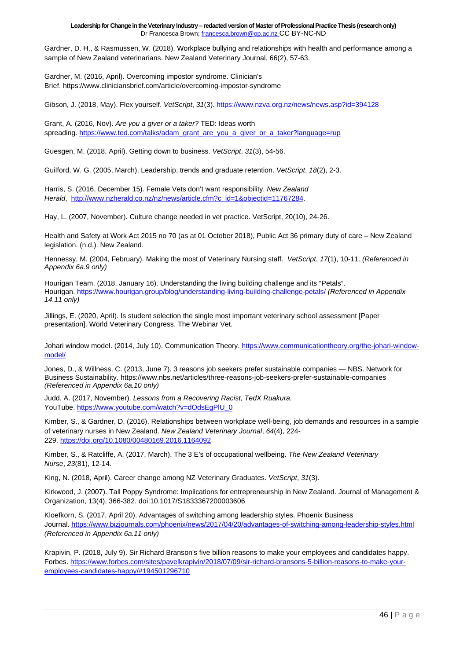Gardner, D. H., & Rasmussen, W. (2018). Workplace bullying and relationships with health and performance among a sample of New Zealand veterinarians. New Zealand Veterinary Journal, 66(2), 57-63.

Gardner, M. (2016, April). Overcoming impostor syndrome. Clinician's Brief. https://www.cliniciansbrief.com/article/overcoming-impostor-syndrome

Gibson, J. (2018, May). Flex yourself. *VetScript*, *31*(3). <https://www.nzva.org.nz/news/news.asp?id=394128>

Grant, A. (2016, Nov). *Are you a giver or a taker?* TED: Ideas worth spreading. [https://www.ted.com/talks/adam\\_grant\\_are\\_you\\_a\\_giver\\_or\\_a\\_taker?language=rup](https://www.ted.com/talks/adam_grant_are_you_a_giver_or_a_taker?language=rup)

Guesgen, M. (2018, April). Getting down to business. *VetScript*, *31*(3), 54-56.

Guilford, W. G. (2005, March). Leadership, trends and graduate retention. *VetScript*, *18*(2), 2-3.

Harris, S. (2016, December 15). Female Vets don't want responsibility. *New Zealand Herald*, [http://www.nzherald.co.nz/nz/news/article.cfm?c\\_id=1&objectid=11767284.](http://www.nzherald.co.nz/nz/news/article.cfm?c_id=1&objectid=11767284)

Hay, L. (2007, November). Culture change needed in vet practice. VetScript, 20(10), 24-26.

Health and Safety at Work Act 2015 no 70 (as at 01 October 2018), Public Act 36 primary duty of care – New Zealand legislation. (n.d.). New Zealand.

Hennessy, M. (2004, February). Making the most of Veterinary Nursing staff. *VetScript*, *17*(1), 10-11. *(Referenced in Appendix 6a.9 only)*

Hourigan Team. (2018, January 16). Understanding the living building challenge and its "Petals". Hourigan. <https://www.hourigan.group/blog/understanding-living-building-challenge-petals/> *(Referenced in Appendix 14.11 only)*

Jillings, E. (2020, April). Is student selection the single most important veterinary school assessment [Paper presentation]. World Veterinary Congress, The Webinar Vet.

Johari window model. (2014, July 10). Communication Theory. [https://www.communicationtheory.org/the-johari-window](https://www.communicationtheory.org/the-johari-window-model/)[model/](https://www.communicationtheory.org/the-johari-window-model/)

Jones, D., & Willness, C. (2013, June 7). 3 reasons job seekers prefer sustainable companies — NBS. Network for Business Sustainability. https://www.nbs.net/articles/three-reasons-job-seekers-prefer-sustainable-companies *(Referenced in Appendix 6a.10 only)*

Judd, A. (2017, November). *Lessons from a Recovering Racist, TedX Ruakura*. YouTube. https://www.youtube.com/watch?v=dOdsEgPIU\_0

Kimber, S., & Gardner, D. (2016). Relationships between workplace well-being, job demands and resources in a sample of veterinary nurses in New Zealand. *New Zealand Veterinary Journal*, *64*(4), 224- 229. <https://doi.org/10.1080/00480169.2016.1164092>

Kimber, S., & Ratcliffe, A. (2017, March). The 3 E's of occupational wellbeing. *The New Zealand Veterinary Nurse*, *23*(81), 12-14.

King, N. (2018, April). Career change among NZ Veterinary Graduates. *VetScript*, *31*(3).

Kirkwood, J. (2007). Tall Poppy Syndrome: Implications for entrepreneurship in New Zealand. Journal of Management & Organization, 13(4), 366-382. doi:10.1017/S1833367200003606

Kloefkorn, S. (2017, April 20). Advantages of switching among leadership styles. Phoenix Business Journal. <https://www.bizjournals.com/phoenix/news/2017/04/20/advantages-of-switching-among-leadership-styles.html> *(Referenced in Appendix 6a.11 only)*

Krapivin, P. (2018, July 9). Sir Richard Branson's five billion reasons to make your employees and candidates happy. Forbes. [https://www.forbes.com/sites/pavelkrapivin/2018/07/09/sir-richard-bransons-5-billion-reasons-to-make-your](https://www.forbes.com/sites/pavelkrapivin/2018/07/09/sir-richard-bransons-5-billion-reasons-to-make-your-employees-candidates-happy/#194501296710)[employees-candidates-happy/#194501296710](https://www.forbes.com/sites/pavelkrapivin/2018/07/09/sir-richard-bransons-5-billion-reasons-to-make-your-employees-candidates-happy/#194501296710)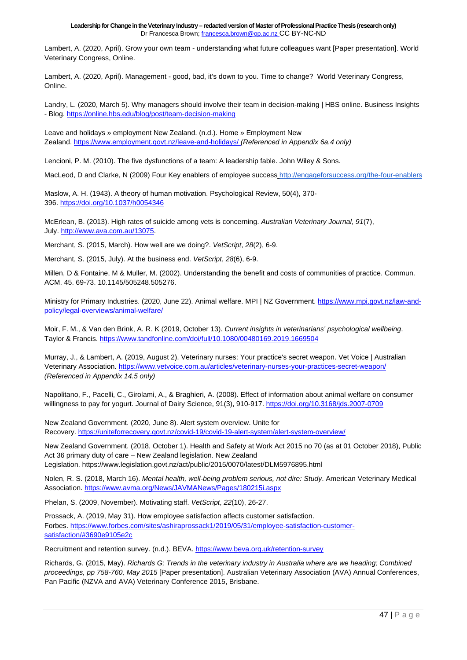Lambert, A. (2020, April). Grow your own team - understanding what future colleagues want [Paper presentation]. World Veterinary Congress, Online.

Lambert, A. (2020, April). Management - good, bad, it's down to you. Time to change? World Veterinary Congress, Online.

Landry, L. (2020, March 5). Why managers should involve their team in decision-making | HBS online. Business Insights - Blog. <https://online.hbs.edu/blog/post/team-decision-making>

Leave and holidays » employment New Zealand. (n.d.). Home » Employment New Zealand. <https://www.employment.govt.nz/leave-and-holidays/> *(Referenced in Appendix 6a.4 only)*

Lencioni, P. M. (2010). The five dysfunctions of a team: A leadership fable. John Wiley & Sons.

MacLeod, D and Clarke, N (2009) Four Key enablers of employee success <http://engageforsuccess.org/the-four-enablers>

Maslow, A. H. (1943). A theory of human motivation. Psychological Review, 50(4), 370- 396. <https://doi.org/10.1037/h0054346>

McErlean, B. (2013). High rates of suicide among vets is concerning. *Australian Veterinary Journal*, *91*(7), July. [http://www.ava.com.au/13075.](http://www.ava.com.au/13075) 

Merchant, S. (2015, March). How well are we doing?. *VetScript*, *28*(2), 6-9.

Merchant, S. (2015, July). At the business end. *VetScript*, *28*(6), 6-9.

Millen, D & Fontaine, M & Muller, M. (2002). Understanding the benefit and costs of communities of practice. Commun. ACM. 45. 69-73. 10.1145/505248.505276.

Ministry for Primary Industries. (2020, June 22). Animal welfare. MPI | NZ Government. [https://www.mpi.govt.nz/law-and](https://www.mpi.govt.nz/law-and-policy/legal-overviews/animal-welfare/)[policy/legal-overviews/animal-welfare/](https://www.mpi.govt.nz/law-and-policy/legal-overviews/animal-welfare/)

Moir, F. M., & Van den Brink, A. R. K (2019, October 13). *Current insights in veterinarians' psychological wellbeing*. Taylor & Francis. <https://www.tandfonline.com/doi/full/10.1080/00480169.2019.1669504>

Murray, J., & Lambert, A. (2019, August 2). Veterinary nurses: Your practice's secret weapon. Vet Voice | Australian Veterinary Association. <https://www.vetvoice.com.au/articles/veterinary-nurses-your-practices-secret-weapon/> *(Referenced in Appendix 14.5 only)*

Napolitano, F., Pacelli, C., Girolami, A., & Braghieri, A. (2008). Effect of information about animal welfare on consumer willingness to pay for yogurt. Journal of Dairy Science, 91(3), 910-917. <https://doi.org/10.3168/jds.2007-0709>

New Zealand Government. (2020, June 8). Alert system overview. Unite for Recovery. <https://uniteforrecovery.govt.nz/covid-19/covid-19-alert-system/alert-system-overview/>

New Zealand Government. (2018, October 1). Health and Safety at Work Act 2015 no 70 (as at 01 October 2018), Public Act 36 primary duty of care – New Zealand legislation. New Zealand Legislation. https://www.legislation.govt.nz/act/public/2015/0070/latest/DLM5976895.html

Nolen, R. S. (2018, March 16). *Mental health, well-being problem serious, not dire: Study*. American Veterinary Medical Association. <https://www.avma.org/News/JAVMANews/Pages/180215i.aspx>

Phelan, S. (2009, November). Motivating staff. *VetScript*, *22*(10), 26-27.

Prossack, A. (2019, May 31). How employee satisfaction affects customer satisfaction. Forbes. [https://www.forbes.com/sites/ashiraprossack1/2019/05/31/employee-satisfaction-customer](https://www.forbes.com/sites/ashiraprossack1/2019/05/31/employee-satisfaction-customer-satisfaction/#3690e9105e2c)[satisfaction/#3690e9105e2c](https://www.forbes.com/sites/ashiraprossack1/2019/05/31/employee-satisfaction-customer-satisfaction/#3690e9105e2c)

Recruitment and retention survey. (n.d.). BEVA. <https://www.beva.org.uk/retention-survey>

Richards, G. (2015, May). *Richards G; Trends in the veterinary industry in Australia where are we heading; Combined proceedings, pp 758-760, May 2015* [Paper presentation]. Australian Veterinary Association (AVA) Annual Conferences, Pan Pacific (NZVA and AVA) Veterinary Conference 2015, Brisbane.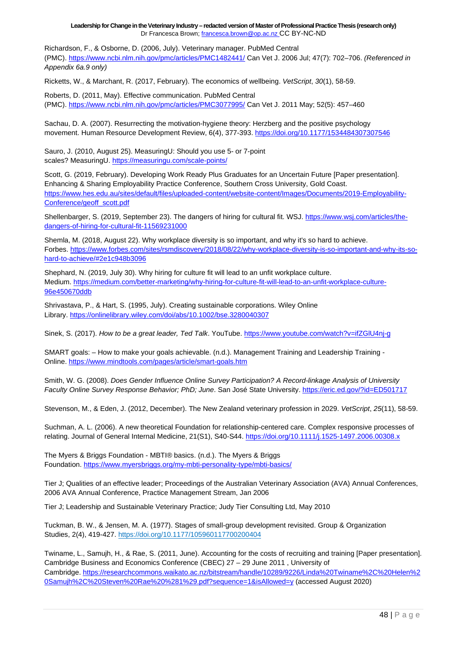Richardson, F., & Osborne, D. (2006, July). Veterinary manager. PubMed Central (PMC). <https://www.ncbi.nlm.nih.gov/pmc/articles/PMC1482441/> Can Vet J. 2006 Jul; 47(7): 702–706. *(Referenced in Appendix 6a.9 only)*

Ricketts, W., & Marchant, R. (2017, February). The economics of wellbeing. *VetScript*, *30*(1), 58-59.

Roberts, D. (2011, May). Effective communication. PubMed Central (PMC). <https://www.ncbi.nlm.nih.gov/pmc/articles/PMC3077995/> Can Vet J. 2011 May; 52(5): 457–460

Sachau, D. A. (2007). Resurrecting the motivation-hygiene theory: Herzberg and the positive psychology movement. Human Resource Development Review, 6(4), 377-393. <https://doi.org/10.1177/1534484307307546>

Sauro, J. (2010, August 25). MeasuringU: Should you use 5- or 7-point scales? MeasuringU. <https://measuringu.com/scale-points/>

Scott, G. (2019, February). Developing Work Ready Plus Graduates for an Uncertain Future [Paper presentation]. Enhancing & Sharing Employability Practice Conference, Southern Cross University, Gold Coast. [https://www.hes.edu.au/sites/default/files/uploaded-content/website-content/Images/Documents/2019-Employability-](https://www.hes.edu.au/sites/default/files/uploaded-content/website-content/Images/Documents/2019-Employability-Conference/geoff_scott.pdf)[Conference/geoff\\_scott.pdf](https://www.hes.edu.au/sites/default/files/uploaded-content/website-content/Images/Documents/2019-Employability-Conference/geoff_scott.pdf)

Shellenbarger, S. (2019, September 23). The dangers of hiring for cultural fit. WSJ. [https://www.wsj.com/articles/the](https://www.wsj.com/articles/the-dangers-of-hiring-for-cultural-fit-11569231000)[dangers-of-hiring-for-cultural-fit-11569231000](https://www.wsj.com/articles/the-dangers-of-hiring-for-cultural-fit-11569231000)

Shemla, M. (2018, August 22). Why workplace diversity is so important, and why it's so hard to achieve. Forbes. [https://www.forbes.com/sites/rsmdiscovery/2018/08/22/why-workplace-diversity-is-so-important-and-why-its-so](https://www.forbes.com/sites/rsmdiscovery/2018/08/22/why-workplace-diversity-is-so-important-and-why-its-so-hard-to-achieve/#2e1c948b3096)[hard-to-achieve/#2e1c948b3096](https://www.forbes.com/sites/rsmdiscovery/2018/08/22/why-workplace-diversity-is-so-important-and-why-its-so-hard-to-achieve/#2e1c948b3096)

Shephard, N. (2019, July 30). Why hiring for culture fit will lead to an unfit workplace culture. Medium. [https://medium.com/better-marketing/why-hiring-for-culture-fit-will-lead-to-an-unfit-workplace-culture-](https://medium.com/better-marketing/why-hiring-for-culture-fit-will-lead-to-an-unfit-workplace-culture-96e450670ddb)[96e450670ddb](https://medium.com/better-marketing/why-hiring-for-culture-fit-will-lead-to-an-unfit-workplace-culture-96e450670ddb)

Shrivastava, P., & Hart, S. (1995, July). Creating sustainable corporations. Wiley Online Library. <https://onlinelibrary.wiley.com/doi/abs/10.1002/bse.3280040307>

Sinek, S. (2017). *How to be a great leader, Ted Talk*. YouTube. <https://www.youtube.com/watch?v=ifZGlU4nj-g>

SMART goals: – How to make your goals achievable. (n.d.). Management Training and Leadership Training - Online. <https://www.mindtools.com/pages/article/smart-goals.htm>

Smith, W. G. (2008). *Does Gender Influence Online Survey Participation? A Record-linkage Analysis of University Faculty Online Survey Response Behavior; PhD; June*. San José State University. <https://eric.ed.gov/?id=ED501717>

Stevenson, M., & Eden, J. (2012, December). The New Zealand veterinary profession in 2029. *VetScript*, *25*(11), 58-59.

Suchman, A. L. (2006). A new theoretical Foundation for relationship-centered care. Complex responsive processes of relating. Journal of General Internal Medicine, 21(S1), S40-S44. <https://doi.org/10.1111/j.1525-1497.2006.00308.x>

The Myers & Briggs Foundation - MBTI® basics. (n.d.). The Myers & Briggs Foundation. <https://www.myersbriggs.org/my-mbti-personality-type/mbti-basics/>

Tier J; Qualities of an effective leader; Proceedings of the Australian Veterinary Association (AVA) Annual Conferences, 2006 AVA Annual Conference, Practice Management Stream, Jan 2006

Tier J; Leadership and Sustainable Veterinary Practice; Judy Tier Consulting Ltd, May 2010

Tuckman, B. W., & Jensen, M. A. (1977). Stages of small-group development revisited. Group & Organization Studies, 2(4), 419-427. <https://doi.org/10.1177/105960117700200404>

Twiname, L., Samujh, H., & Rae, S. (2011, June). Accounting for the costs of recruiting and training [Paper presentation]. Cambridge Business and Economics Conference (CBEC) 27 – 29 June 2011 , University of Cambridge. [https://researchcommons.waikato.ac.nz/bitstream/handle/10289/9226/Linda%20Twiname%2C%20Helen%2](https://researchcommons.waikato.ac.nz/bitstream/handle/10289/9226/Linda%20Twiname%2C%20Helen%20Samujh%2C%20Steven%20Rae%20%281%29.pdf?sequence=1&isAllowed=y) [0Samujh%2C%20Steven%20Rae%20%281%29.pdf?sequence=1&isAllowed=y](https://researchcommons.waikato.ac.nz/bitstream/handle/10289/9226/Linda%20Twiname%2C%20Helen%20Samujh%2C%20Steven%20Rae%20%281%29.pdf?sequence=1&isAllowed=y) (accessed August 2020)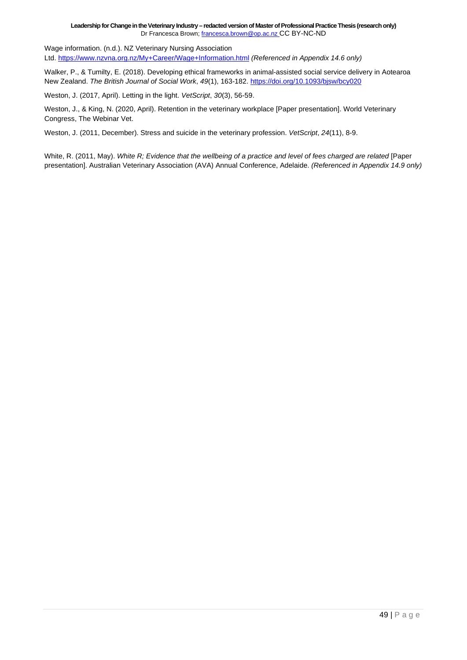Wage information. (n.d.). NZ Veterinary Nursing Association Ltd. <https://www.nzvna.org.nz/My+Career/Wage+Information.html> *(Referenced in Appendix 14.6 only)*

Walker, P., & Tumilty, E. (2018). Developing ethical frameworks in animal-assisted social service delivery in Aotearoa New Zealand. *The British Journal of Social Work*, *49*(1), 163-182. <https://doi.org/10.1093/bjsw/bcy020>

Weston, J. (2017, April). Letting in the light. *VetScript*, *30*(3), 56-59.

Weston, J., & King, N. (2020, April). Retention in the veterinary workplace [Paper presentation]. World Veterinary Congress, The Webinar Vet.

Weston, J. (2011, December). Stress and suicide in the veterinary profession. *VetScript*, *24*(11), 8-9.

White, R. (2011, May). *White R; Evidence that the wellbeing of a practice and level of fees charged are related* [Paper presentation]. Australian Veterinary Association (AVA) Annual Conference, Adelaide. *(Referenced in Appendix 14.9 only)*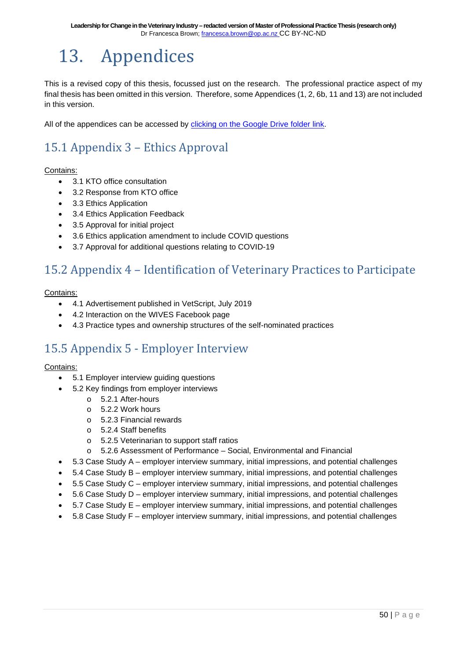## <span id="page-49-0"></span>13. Appendices

This is a revised copy of this thesis, focussed just on the research. The professional practice aspect of my final thesis has been omitted in this version. Therefore, some Appendices (1, 2, 6b, 11 and 13) are not included in this version.

All of the appendices can be accessed by [clicking on the Google Drive folder link.](https://drive.google.com/drive/folders/1wjaX5hAMdoS3WqCWNGXm6rWDuOFJqK2A?usp=sharing)

### <span id="page-49-1"></span>15.1 Appendix 3 – Ethics Approval

#### Contains:

- 3.1 KTO office consultation
- 3.2 Response from KTO office
- 3.3 Ethics Application
- 3.4 Ethics Application Feedback
- 3.5 Approval for initial project
- 3.6 Ethics application amendment to include COVID questions
- 3.7 Approval for additional questions relating to COVID-19

### <span id="page-49-2"></span>15.2 Appendix 4 – Identification of Veterinary Practices to Participate

#### Contains:

- 4.1 Advertisement published in VetScript, July 2019
- 4.2 Interaction on the WIVES Facebook page
- 4.3 Practice types and ownership structures of the self-nominated practices

### <span id="page-49-3"></span>15.5 Appendix 5 - Employer Interview

#### Contains:

- 5.1 Employer interview guiding questions
- 5.2 Key findings from employer interviews
	- o 5.2.1 After-hours
	- o 5.2.2 Work hours
	- o 5.2.3 Financial rewards
	- o 5.2.4 Staff benefits
	- o 5.2.5 Veterinarian to support staff ratios
	- o 5.2.6 Assessment of Performance Social, Environmental and Financial
- 5.3 Case Study A employer interview summary, initial impressions, and potential challenges
- 5.4 Case Study B employer interview summary, initial impressions, and potential challenges
- 5.5 Case Study C employer interview summary, initial impressions, and potential challenges
- 5.6 Case Study D employer interview summary, initial impressions, and potential challenges
- 5.7 Case Study E employer interview summary, initial impressions, and potential challenges
- 5.8 Case Study F employer interview summary, initial impressions, and potential challenges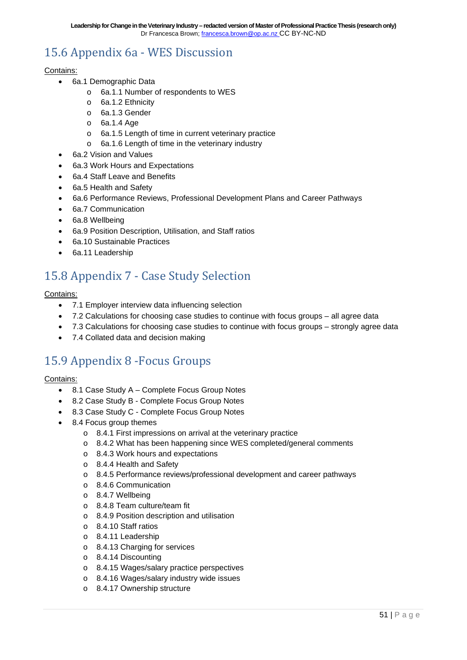### <span id="page-50-0"></span>15.6 Appendix 6a - WES Discussion

#### Contains:

- 6a.1 Demographic Data
	- o 6a.1.1 Number of respondents to WES
	- o 6a.1.2 Ethnicity
	- o 6a.1.3 Gender
	- o 6a.1.4 Age
	- o 6a.1.5 Length of time in current veterinary practice
	- o 6a.1.6 Length of time in the veterinary industry
- 6a.2 Vision and Values
- 6a.3 Work Hours and Expectations
- 6a.4 Staff Leave and Benefits
- 6a.5 Health and Safety
- 6a.6 Performance Reviews, Professional Development Plans and Career Pathways
- 6a.7 Communication
- 6a.8 Wellbeing
- 6a.9 Position Description, Utilisation, and Staff ratios
- 6a.10 Sustainable Practices
- 6a.11 Leadership

### <span id="page-50-1"></span>15.8 Appendix 7 - Case Study Selection

#### Contains:

- 7.1 Employer interview data influencing selection
- 7.2 Calculations for choosing case studies to continue with focus groups all agree data
- 7.3 Calculations for choosing case studies to continue with focus groups strongly agree data
- 7.4 Collated data and decision making

### <span id="page-50-2"></span>15.9 Appendix 8 -Focus Groups

#### Contains:

- 8.1 Case Study A Complete Focus Group Notes
- 8.2 Case Study B Complete Focus Group Notes
- 8.3 Case Study C Complete Focus Group Notes
- 8.4 Focus group themes
	- o 8.4.1 First impressions on arrival at the veterinary practice
	- o 8.4.2 What has been happening since WES completed/general comments
	- o 8.4.3 Work hours and expectations
	- o 8.4.4 Health and Safety
	- o 8.4.5 Performance reviews/professional development and career pathways
	- o 8.4.6 Communication
	- o 8.4.7 Wellbeing
	- o 8.4.8 Team culture/team fit
	- o 8.4.9 Position description and utilisation
	- o 8.4.10 Staff ratios
	- o 8.4.11 Leadership
	- o 8.4.13 Charging for services
	- o 8.4.14 Discounting
	- o 8.4.15 Wages/salary practice perspectives
	- o 8.4.16 Wages/salary industry wide issues
	- o 8.4.17 Ownership structure